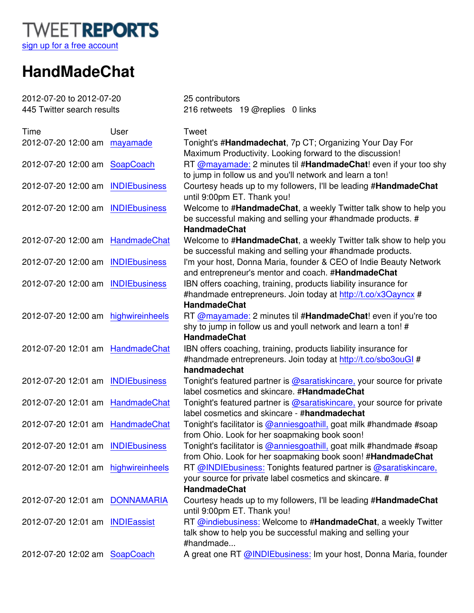

## **HandMadeChat**

| 2012-07-20 to 2012-07-20            |          | 25 contributors                                                                                                                                         |
|-------------------------------------|----------|---------------------------------------------------------------------------------------------------------------------------------------------------------|
| 445 Twitter search results          |          | 216 retweets 19 @replies 0 links                                                                                                                        |
| Time                                | User     | <b>Tweet</b>                                                                                                                                            |
| 2012-07-20 12:00 am                 | mayamade | Tonight's #Handmadechat, 7p CT; Organizing Your Day For<br>Maximum Productivity. Looking forward to the discussion!                                     |
| 2012-07-20 12:00 am SoapCoach       |          | RT @mayamade: 2 minutes til #HandmadeChat! even if your too shy<br>to jump in follow us and you'll network and learn a ton!                             |
| 2012-07-20 12:00 am INDIEbusiness   |          | Courtesy heads up to my followers, I'll be leading #HandmadeChat<br>until 9:00pm ET. Thank you!                                                         |
| 2012-07-20 12:00 am INDIEbusiness   |          | Welcome to #HandmadeChat, a weekly Twitter talk show to help you<br>be successful making and selling your #handmade products. #<br><b>HandmadeChat</b>  |
| 2012-07-20 12:00 am HandmadeChat    |          | Welcome to #HandmadeChat, a weekly Twitter talk show to help you<br>be successful making and selling your #handmade products.                           |
| 2012-07-20 12:00 am INDIEbusiness   |          | I'm your host, Donna Maria, founder & CEO of Indie Beauty Network<br>and entrepreneur's mentor and coach. #HandmadeChat                                 |
| 2012-07-20 12:00 am INDIEbusiness   |          | IBN offers coaching, training, products liability insurance for<br>#handmade entrepreneurs. Join today at http://t.co/x3Oayncx #<br><b>HandmadeChat</b> |
| 2012-07-20 12:00 am highwireinheels |          | RT @mayamade: 2 minutes til #HandmadeChat! even if you're too<br>shy to jump in follow us and youll network and learn a ton! #<br><b>HandmadeChat</b>   |
| 2012-07-20 12:01 am HandmadeChat    |          | IBN offers coaching, training, products liability insurance for<br>#handmade entrepreneurs. Join today at http://t.co/sbo3ouGl #<br>handmadechat        |
| 2012-07-20 12:01 am INDIEbusiness   |          | Tonight's featured partner is @saratiskincare, your source for private<br>label cosmetics and skincare. #HandmadeChat                                   |
| 2012-07-20 12:01 am HandmadeChat    |          | Tonight's featured partner is @saratiskincare, your source for private<br>label cosmetics and skincare - #handmadechat                                  |
| 2012-07-20 12:01 am HandmadeChat    |          | Tonight's facilitator is @anniesgoathill, goat milk #handmade #soap<br>from Ohio. Look for her soapmaking book soon!                                    |
| 2012-07-20 12:01 am INDIEbusiness   |          | Tonight's facilitator is @anniesgoathill, goat milk #handmade #soap<br>from Ohio. Look for her soapmaking book soon! #HandmadeChat                      |
| 2012-07-20 12:01 am highwireinheels |          | RT @INDIEbusiness: Tonights featured partner is @saratiskincare,<br>your source for private label cosmetics and skincare. #<br><b>HandmadeChat</b>      |
| 2012-07-20 12:01 am DONNAMARIA      |          | Courtesy heads up to my followers, I'll be leading #HandmadeChat<br>until 9:00pm ET. Thank you!                                                         |
| 2012-07-20 12:01 am INDIEassist     |          | RT @indiebusiness: Welcome to #HandmadeChat, a weekly Twitter<br>talk show to help you be successful making and selling your<br>#handmade               |
| 2012-07-20 12:02 am SoapCoach       |          | A great one RT @INDIEbusiness: Im your host, Donna Maria, founder                                                                                       |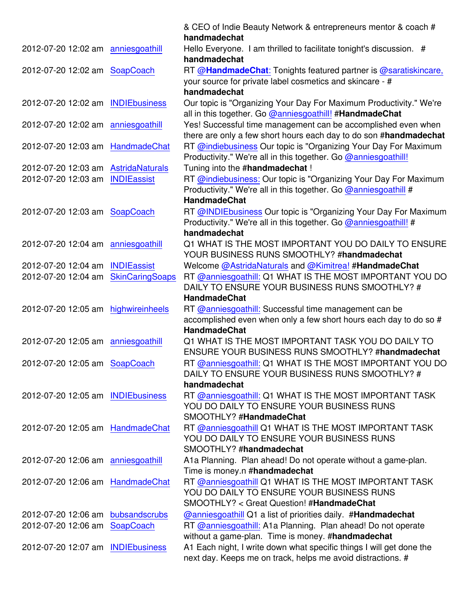|                                     |                        | & CEO of Indie Beauty Network & entrepreneurs mentor & coach #<br>handmadechat      |
|-------------------------------------|------------------------|-------------------------------------------------------------------------------------|
|                                     |                        |                                                                                     |
| 2012-07-20 12:02 am anniesgoathill  |                        | Hello Everyone. I am thrilled to facilitate tonight's discussion. #<br>handmadechat |
| 2012-07-20 12:02 am SoapCoach       |                        | RT @HandmadeChat: Tonights featured partner is @saratiskincare,                     |
|                                     |                        | your source for private label cosmetics and skincare - #                            |
|                                     |                        | handmadechat                                                                        |
| 2012-07-20 12:02 am INDIEbusiness   |                        | Our topic is "Organizing Your Day For Maximum Productivity." We're                  |
|                                     |                        | all in this together. Go @anniesgoathill! #HandmadeChat                             |
| 2012-07-20 12:02 am anniesgoathill  |                        | Yes! Successful time management can be accomplished even when                       |
|                                     |                        | there are only a few short hours each day to do son #handmadechat                   |
| 2012-07-20 12:03 am HandmadeChat    |                        | RT @indiebusiness Our topic is "Organizing Your Day For Maximum                     |
|                                     |                        | Productivity." We're all in this together. Go @anniesgoathill!                      |
| 2012-07-20 12:03 am AstridaNaturals |                        | Tuning into the #handmadechat !                                                     |
| 2012-07-20 12:03 am                 | <b>INDIEassist</b>     | RT @indiebusiness: Our topic is "Organizing Your Day For Maximum                    |
|                                     |                        | Productivity." We're all in this together. Go @anniesgoathill #                     |
|                                     |                        | <b>HandmadeChat</b>                                                                 |
| 2012-07-20 12:03 am SoapCoach       |                        | RT @INDIEbusiness Our topic is "Organizing Your Day For Maximum                     |
|                                     |                        | Productivity." We're all in this together. Go @anniesgoathill! #                    |
|                                     |                        | handmadechat                                                                        |
| 2012-07-20 12:04 am anniesgoathill  |                        | Q1 WHAT IS THE MOST IMPORTANT YOU DO DAILY TO ENSURE                                |
|                                     |                        | YOUR BUSINESS RUNS SMOOTHLY? #handmadechat                                          |
| 2012-07-20 12:04 am                 | <b>INDIEassist</b>     | Welcome @AstridaNaturals and @Kimitrea! #HandmadeChat                               |
| 2012-07-20 12:04 am                 | <b>SkinCaringSoaps</b> | RT @anniesgoathill: Q1 WHAT IS THE MOST IMPORTANT YOU DO                            |
|                                     |                        | DAILY TO ENSURE YOUR BUSINESS RUNS SMOOTHLY? #                                      |
|                                     |                        |                                                                                     |
|                                     |                        | <b>HandmadeChat</b>                                                                 |
| 2012-07-20 12:05 am                 | highwireinheels        | RT @anniesgoathill: Successful time management can be                               |
|                                     |                        | accomplished even when only a few short hours each day to do so #                   |
|                                     |                        | <b>HandmadeChat</b>                                                                 |
| 2012-07-20 12:05 am anniesgoathill  |                        | Q1 WHAT IS THE MOST IMPORTANT TASK YOU DO DAILY TO                                  |
|                                     |                        | ENSURE YOUR BUSINESS RUNS SMOOTHLY? #handmadechat                                   |
| 2012-07-20 12:05 am SoapCoach       |                        | RT @anniesgoathill: Q1 WHAT IS THE MOST IMPORTANT YOU DO                            |
|                                     |                        | DAILY TO ENSURE YOUR BUSINESS RUNS SMOOTHLY? #                                      |
|                                     |                        | handmadechat                                                                        |
| 2012-07-20 12:05 am INDIEbusiness   |                        | RT @anniesgoathill: Q1 WHAT IS THE MOST IMPORTANT TASK                              |
|                                     |                        | YOU DO DAILY TO ENSURE YOUR BUSINESS RUNS                                           |
|                                     |                        | SMOOTHLY? #HandmadeChat                                                             |
| 2012-07-20 12:05 am HandmadeChat    |                        | RT @anniesgoathill Q1 WHAT IS THE MOST IMPORTANT TASK                               |
|                                     |                        | YOU DO DAILY TO ENSURE YOUR BUSINESS RUNS                                           |
|                                     |                        | SMOOTHLY? #handmadechat                                                             |
| 2012-07-20 12:06 am anniesgoathill  |                        | A1a Planning. Plan ahead! Do not operate without a game-plan.                       |
|                                     |                        | Time is money.n #handmadechat                                                       |
| 2012-07-20 12:06 am                 | HandmadeChat           | RT @anniesgoathill Q1 WHAT IS THE MOST IMPORTANT TASK                               |
|                                     |                        | YOU DO DAILY TO ENSURE YOUR BUSINESS RUNS                                           |
|                                     |                        | SMOOTHLY? < Great Question! #HandmadeChat                                           |
| 2012-07-20 12:06 am bubsandscrubs   |                        | <b>@anniesgoathill Q1 a list of priorities daily. #Handmadechat</b>                 |
| 2012-07-20 12:06 am SoapCoach       |                        | RT @anniesgoathill: A1a Planning. Plan ahead! Do not operate                        |
|                                     |                        | without a game-plan. Time is money. #handmadechat                                   |
| 2012-07-20 12:07 am INDIEbusiness   |                        | A1 Each night, I write down what specific things I will get done the                |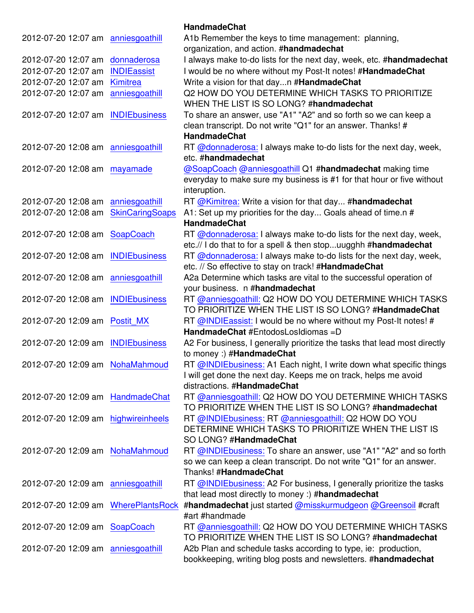|                                     |                        | <b>HandmadeChat</b>                                                                                                       |
|-------------------------------------|------------------------|---------------------------------------------------------------------------------------------------------------------------|
| 2012-07-20 12:07 am                 | anniesgoathill         | A1b Remember the keys to time management: planning,<br>organization, and action. #handmadechat                            |
| 2012-07-20 12:07 am                 | donnaderosa            | I always make to-do lists for the next day, week, etc. #handmadechat                                                      |
| 2012-07-20 12:07 am                 | <b>INDIEassist</b>     | I would be no where without my Post-It notes! #HandmadeChat                                                               |
| 2012-07-20 12:07 am                 | Kimitrea               | Write a vision for that dayn #HandmadeChat                                                                                |
| 2012-07-20 12:07 am                 | anniesgoathill         | Q2 HOW DO YOU DETERMINE WHICH TASKS TO PRIORITIZE                                                                         |
|                                     |                        | WHEN THE LIST IS SO LONG? #handmadechat                                                                                   |
| 2012-07-20 12:07 am                 | <b>INDIEbusiness</b>   | To share an answer, use "A1" "A2" and so forth so we can keep a                                                           |
|                                     |                        | clean transcript. Do not write "Q1" for an answer. Thanks! #<br><b>HandmadeChat</b>                                       |
| 2012-07-20 12:08 am anniesgoathill  |                        | RT @donnaderosa: I always make to-do lists for the next day, week,<br>etc. #handmadechat                                  |
| 2012-07-20 12:08 am mayamade        |                        | @SoapCoach @anniesgoathill Q1 #handmadechat making time                                                                   |
|                                     |                        | everyday to make sure my business is #1 for that hour or five without                                                     |
|                                     |                        | interuption.                                                                                                              |
| 2012-07-20 12:08 am                 | anniesgoathill         | RT @Kimitrea: Write a vision for that day #handmadechat                                                                   |
| 2012-07-20 12:08 am                 | <b>SkinCaringSoaps</b> | A1: Set up my priorities for the day Goals ahead of time.n #                                                              |
|                                     |                        | <b>HandmadeChat</b>                                                                                                       |
| 2012-07-20 12:08 am SoapCoach       |                        | RT @donnaderosa: I always make to-do lists for the next day, week,                                                        |
|                                     |                        | etc.// I do that to for a spell & then stopuugghh #handmadechat                                                           |
| 2012-07-20 12:08 am                 | <b>INDIEbusiness</b>   | RT @donnaderosa: I always make to-do lists for the next day, week,                                                        |
|                                     |                        | etc. // So effective to stay on track! #HandmadeChat                                                                      |
| 2012-07-20 12:08 am                 | anniesgoathill         | A2a Determine which tasks are vital to the successful operation of<br>your business. n #handmadechat                      |
| 2012-07-20 12:08 am                 | <b>INDIEbusiness</b>   | RT @anniesgoathill: Q2 HOW DO YOU DETERMINE WHICH TASKS<br>TO PRIORITIZE WHEN THE LIST IS SO LONG? #HandmadeChat          |
| 2012-07-20 12:09 am                 | Postit MX              | RT @INDIEassist: I would be no where without my Post-It notes! #                                                          |
|                                     |                        | HandmadeChat #EntodosLosIdiomas =D                                                                                        |
| 2012-07-20 12:09 am                 | <b>INDIEbusiness</b>   | A2 For business, I generally prioritize the tasks that lead most directly                                                 |
|                                     |                        | to money :) #HandmadeChat                                                                                                 |
| 2012-07-20 12:09 am NohaMahmoud     |                        | RT @INDIEbusiness: A1 Each night, I write down what specific things                                                       |
|                                     |                        | I will get done the next day. Keeps me on track, helps me avoid                                                           |
|                                     |                        | distractions. #HandmadeChat                                                                                               |
| 2012-07-20 12:09 am HandmadeChat    |                        | RT @anniesgoathill: Q2 HOW DO YOU DETERMINE WHICH TASKS                                                                   |
|                                     |                        | TO PRIORITIZE WHEN THE LIST IS SO LONG? #handmadechat                                                                     |
| 2012-07-20 12:09 am highwireinheels |                        | RT @INDIEbusiness: RT @anniesgoathill: Q2 HOW DO YOU                                                                      |
|                                     |                        | DETERMINE WHICH TASKS TO PRIORITIZE WHEN THE LIST IS                                                                      |
|                                     |                        | SO LONG? #HandmadeChat                                                                                                    |
| 2012-07-20 12:09 am NohaMahmoud     |                        | RT @INDIEbusiness: To share an answer, use "A1" "A2" and so forth                                                         |
|                                     |                        | so we can keep a clean transcript. Do not write "Q1" for an answer.<br>Thanks! #HandmadeChat                              |
|                                     |                        |                                                                                                                           |
| 2012-07-20 12:09 am anniesgoathill  |                        | RT @INDIEbusiness: A2 For business, I generally prioritize the tasks<br>that lead most directly to money :) #handmadechat |
| 2012-07-20 12:09 am                 | <b>WherePlantsRock</b> | #handmadechat just started @misskurmudgeon @Greensoil #craft<br>#art #handmade                                            |
| 2012-07-20 12:09 am SoapCoach       |                        | RT @anniesgoathill: Q2 HOW DO YOU DETERMINE WHICH TASKS                                                                   |
|                                     |                        | TO PRIORITIZE WHEN THE LIST IS SO LONG? #handmadechat                                                                     |
| 2012-07-20 12:09 am anniesgoathill  |                        | A2b Plan and schedule tasks according to type, ie: production,                                                            |
|                                     |                        | bookkeeping, writing blog posts and newsletters. #handmadechat                                                            |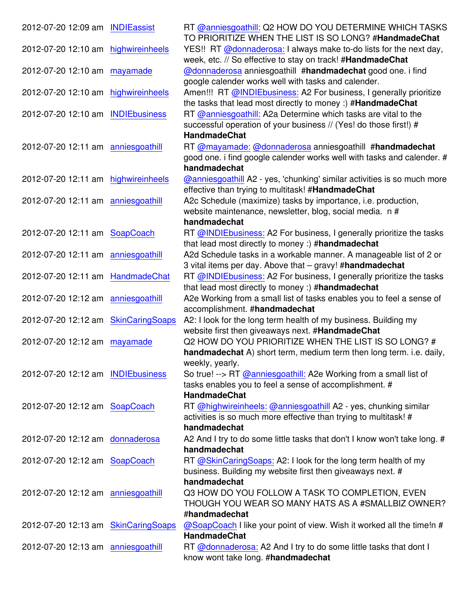| 2012-07-20 12:09 am INDIEassist     |                        | RT @anniesgoathill: Q2 HOW DO YOU DETERMINE WHICH TASKS<br>TO PRIORITIZE WHEN THE LIST IS SO LONG? #HandmadeChat                 |
|-------------------------------------|------------------------|----------------------------------------------------------------------------------------------------------------------------------|
| 2012-07-20 12:10 am highwireinheels |                        | YES!! RT @donnaderosa: I always make to-do lists for the next day,<br>week, etc. // So effective to stay on track! #HandmadeChat |
| 2012-07-20 12:10 am                 | mayamade               | @donnaderosa anniesgoathill #handmadechat good one. i find                                                                       |
|                                     |                        | google calender works well with tasks and calender.                                                                              |
| 2012-07-20 12:10 am                 | highwireinheels        | Amen!!! RT @INDIEbusiness: A2 For business, I generally prioritize                                                               |
|                                     |                        | the tasks that lead most directly to money :) #HandmadeChat                                                                      |
| 2012-07-20 12:10 am INDIEbusiness   |                        | RT @anniesgoathill: A2a Determine which tasks are vital to the                                                                   |
|                                     |                        | successful operation of your business // (Yes! do those first!) #                                                                |
|                                     |                        | <b>HandmadeChat</b>                                                                                                              |
| 2012-07-20 12:11 am anniesgoathill  |                        | RT @mayamade: @donnaderosa anniesgoathill #handmadechat                                                                          |
|                                     |                        | good one. i find google calender works well with tasks and calender. #                                                           |
|                                     |                        | handmadechat                                                                                                                     |
| 2012-07-20 12:11 am highwireinheels |                        | @anniesgoathill A2 - yes, 'chunking' similar activities is so much more                                                          |
|                                     |                        | effective than trying to multitask! #HandmadeChat                                                                                |
| 2012-07-20 12:11 am anniesgoathill  |                        | A2c Schedule (maximize) tasks by importance, i.e. production,                                                                    |
|                                     |                        | website maintenance, newsletter, blog, social media. n #                                                                         |
|                                     |                        | handmadechat                                                                                                                     |
| 2012-07-20 12:11 am SoapCoach       |                        | RT @INDIEbusiness: A2 For business, I generally prioritize the tasks                                                             |
|                                     |                        | that lead most directly to money :) #handmadechat                                                                                |
| 2012-07-20 12:11 am anniesgoathill  |                        | A2d Schedule tasks in a workable manner. A manageable list of 2 or                                                               |
|                                     |                        | 3 vital items per day. Above that - gravy! #handmadechat                                                                         |
| 2012-07-20 12:11 am HandmadeChat    |                        | RT @INDIEbusiness: A2 For business, I generally prioritize the tasks                                                             |
|                                     |                        | that lead most directly to money :) #handmadechat                                                                                |
| 2012-07-20 12:12 am anniesgoathill  |                        | A2e Working from a small list of tasks enables you to feel a sense of                                                            |
|                                     |                        | accomplishment. #handmadechat                                                                                                    |
| 2012-07-20 12:12 am                 | <b>SkinCaringSoaps</b> | A2: I look for the long term health of my business. Building my                                                                  |
|                                     |                        | website first then giveaways next. #HandmadeChat                                                                                 |
| 2012-07-20 12:12 am mayamade        |                        | Q2 HOW DO YOU PRIORITIZE WHEN THE LIST IS SO LONG? #                                                                             |
|                                     |                        | handmadechat A) short term, medium term then long term. i.e. daily,                                                              |
|                                     |                        | weekly, yearly.                                                                                                                  |
| 2012-07-20 12:12 am INDIEbusiness   |                        | So true! --> RT @anniesgoathill: A2e Working from a small list of                                                                |
|                                     |                        | tasks enables you to feel a sense of accomplishment. #                                                                           |
|                                     |                        | <b>HandmadeChat</b>                                                                                                              |
| 2012-07-20 12:12 am SoapCoach       |                        | RT @highwireinheels: @anniesgoathill A2 - yes, chunking similar                                                                  |
|                                     |                        | activities is so much more effective than trying to multitask! #                                                                 |
|                                     |                        | handmadechat                                                                                                                     |
| 2012-07-20 12:12 am donnaderosa     |                        | A2 And I try to do some little tasks that don't I know won't take long. #                                                        |
|                                     |                        | handmadechat                                                                                                                     |
| 2012-07-20 12:12 am SoapCoach       |                        | RT @SkinCaringSoaps: A2: I look for the long term health of my                                                                   |
|                                     |                        | business. Building my website first then giveaways next. #                                                                       |
|                                     |                        | handmadechat                                                                                                                     |
| 2012-07-20 12:12 am anniesgoathill  |                        | Q3 HOW DO YOU FOLLOW A TASK TO COMPLETION, EVEN                                                                                  |
|                                     |                        | THOUGH YOU WEAR SO MANY HATS AS A #SMALLBIZ OWNER?                                                                               |
|                                     |                        | #handmadechat                                                                                                                    |
| 2012-07-20 12:13 am SkinCaringSoaps |                        | @SoapCoach I like your point of view. Wish it worked all the time!n #                                                            |
|                                     |                        | <b>HandmadeChat</b>                                                                                                              |
| 2012-07-20 12:13 am anniesgoathill  |                        | RT @donnaderosa: A2 And I try to do some little tasks that dont I                                                                |
|                                     |                        | know wont take long. #handmadechat                                                                                               |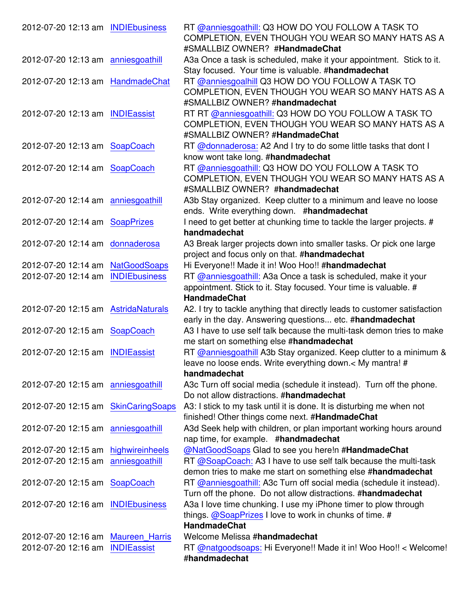| 2012-07-20 12:13 am INDIEbusiness   |                       | RT @anniesgoathill: Q3 HOW DO YOU FOLLOW A TASK TO<br>COMPLETION, EVEN THOUGH YOU WEAR SO MANY HATS AS A                   |
|-------------------------------------|-----------------------|----------------------------------------------------------------------------------------------------------------------------|
|                                     |                       | #SMALLBIZ OWNER? #HandmadeChat                                                                                             |
| 2012-07-20 12:13 am anniesgoathill  |                       | A3a Once a task is scheduled, make it your appointment. Stick to it.<br>Stay focused. Your time is valuable. #handmadechat |
| 2012-07-20 12:13 am HandmadeChat    |                       | RT @anniesgoalhill Q3 HOW DO YOU FOLLOW A TASK TO                                                                          |
|                                     |                       | COMPLETION, EVEN THOUGH YOU WEAR SO MANY HATS AS A                                                                         |
|                                     |                       | #SMALLBIZ OWNER? #handmadechat                                                                                             |
| 2012-07-20 12:13 am INDIEassist     |                       | RT RT @anniesgoathill: Q3 HOW DO YOU FOLLOW A TASK TO                                                                      |
|                                     |                       | COMPLETION, EVEN THOUGH YOU WEAR SO MANY HATS AS A                                                                         |
|                                     |                       |                                                                                                                            |
|                                     |                       | #SMALLBIZ OWNER? #HandmadeChat                                                                                             |
| 2012-07-20 12:13 am SoapCoach       |                       | RT @donnaderosa: A2 And I try to do some little tasks that dont I                                                          |
|                                     |                       | know wont take long. #handmadechat                                                                                         |
| 2012-07-20 12:14 am SoapCoach       |                       | RT @anniesgoathill: Q3 HOW DO YOU FOLLOW A TASK TO                                                                         |
|                                     |                       | COMPLETION, EVEN THOUGH YOU WEAR SO MANY HATS AS A                                                                         |
|                                     |                       | #SMALLBIZ OWNER? #handmadechat                                                                                             |
| 2012-07-20 12:14 am anniesgoathill  |                       | A3b Stay organized. Keep clutter to a minimum and leave no loose                                                           |
|                                     |                       | ends. Write everything down. #handmadechat                                                                                 |
| 2012-07-20 12:14 am SoapPrizes      |                       | I need to get better at chunking time to tackle the larger projects. #                                                     |
|                                     |                       | handmadechat                                                                                                               |
| 2012-07-20 12:14 am                 | donnaderosa           | A3 Break larger projects down into smaller tasks. Or pick one large                                                        |
|                                     |                       | project and focus only on that. #handmadechat                                                                              |
| 2012-07-20 12:14 am                 | <b>NatGoodSoaps</b>   | Hi Everyone!! Made it in! Woo Hoo!! #handmadechat                                                                          |
| 2012-07-20 12:14 am                 | <b>INDIEbusiness</b>  | RT @anniesgoathill: A3a Once a task is scheduled, make it your                                                             |
|                                     |                       | appointment. Stick to it. Stay focused. Your time is valuable. #                                                           |
|                                     |                       | <b>HandmadeChat</b>                                                                                                        |
| 2012-07-20 12:15 am AstridaNaturals |                       | A2. I try to tackle anything that directly leads to customer satisfaction                                                  |
|                                     |                       | early in the day. Answering questions etc. #handmadechat                                                                   |
| 2012-07-20 12:15 am SoapCoach       |                       | A3 I have to use self talk because the multi-task demon tries to make                                                      |
|                                     |                       | me start on something else #handmadechat                                                                                   |
| 2012-07-20 12:15 am INDIEassist     |                       | RT @anniesgoathill A3b Stay organized. Keep clutter to a minimum &                                                         |
|                                     |                       |                                                                                                                            |
|                                     |                       | leave no loose ends. Write everything down. $<$ My mantra! #                                                               |
|                                     |                       | handmadechat                                                                                                               |
| 2012-07-20 12:15 am anniesgoathill  |                       | A3c Turn off social media (schedule it instead). Turn off the phone.                                                       |
|                                     |                       | Do not allow distractions. #handmadechat                                                                                   |
| 2012-07-20 12:15 am SkinCaringSoaps |                       | A3: I stick to my task until it is done. It is disturbing me when not                                                      |
|                                     |                       | finished! Other things come next. #HandmadeChat                                                                            |
| 2012-07-20 12:15 am anniesgoathill  |                       | A3d Seek help with children, or plan important working hours around                                                        |
|                                     |                       | nap time, for example. #handmadechat                                                                                       |
| 2012-07-20 12:15 am                 | highwireinheels       | @NatGoodSoaps Glad to see you here!n #HandmadeChat                                                                         |
| 2012-07-20 12:15 am                 | anniesgoathill        | RT @SoapCoach: A3 I have to use self talk because the multi-task                                                           |
|                                     |                       | demon tries to make me start on something else #handmadechat                                                               |
| 2012-07-20 12:15 am SoapCoach       |                       | RT @anniesgoathill: A3c Turn off social media (schedule it instead).                                                       |
|                                     |                       | Turn off the phone. Do not allow distractions. #handmadechat                                                               |
| 2012-07-20 12:16 am                 | <b>INDIEbusiness</b>  | A3a I love time chunking. I use my iPhone timer to plow through                                                            |
|                                     |                       | things. $@$ SoapPrizes I love to work in chunks of time. #                                                                 |
|                                     |                       | <b>HandmadeChat</b>                                                                                                        |
| 2012-07-20 12:16 am                 | <b>Maureen Harris</b> | Welcome Melissa #handmadechat                                                                                              |
| 2012-07-20 12:16 am                 | <b>INDIEassist</b>    | RT @natgoodsoaps: Hi Everyone!! Made it in! Woo Hoo!! < Welcome!                                                           |
|                                     |                       | #handmadechat                                                                                                              |
|                                     |                       |                                                                                                                            |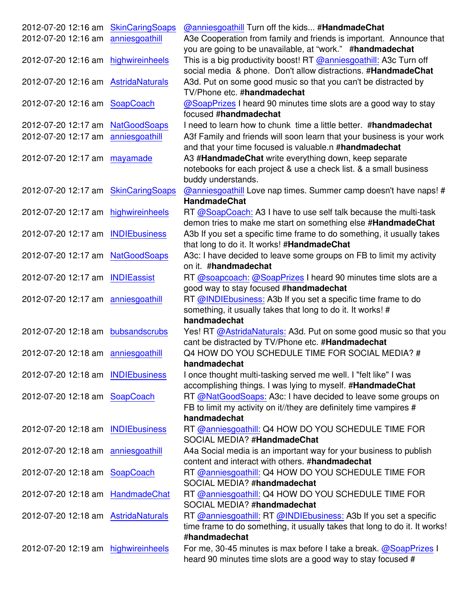| 2012-07-20 12:16 am SkinCaringSoaps |                    | <b>@anniesgoathill Turn off the kids #HandmadeChat</b>                                                                                                          |
|-------------------------------------|--------------------|-----------------------------------------------------------------------------------------------------------------------------------------------------------------|
| 2012-07-20 12:16 am anniesgoathill  |                    | A3e Cooperation from family and friends is important. Announce that<br>you are going to be unavailable, at "work." #handmadechat                                |
| 2012-07-20 12:16 am highwireinheels |                    | This is a big productivity boost! RT @anniesgoathill: A3c Turn off<br>social media & phone. Don't allow distractions. #HandmadeChat                             |
| 2012-07-20 12:16 am AstridaNaturals |                    | A3d. Put on some good music so that you can't be distracted by<br>TV/Phone etc. #handmadechat                                                                   |
| 2012-07-20 12:16 am SoapCoach       |                    | @SoapPrizes I heard 90 minutes time slots are a good way to stay<br>focused #handmadechat                                                                       |
| 2012-07-20 12:17 am NatGoodSoaps    |                    | I need to learn how to chunk time a little better. #handmadechat                                                                                                |
| 2012-07-20 12:17 am                 | anniesgoathill     | A3f Family and friends will soon learn that your business is your work<br>and that your time focused is valuable.n #handmadechat                                |
| 2012-07-20 12:17 am mayamade        |                    | A3 #HandmadeChat write everything down, keep separate<br>notebooks for each project & use a check list. & a small business<br>buddy understands.                |
| 2012-07-20 12:17 am SkinCaringSoaps |                    | @anniesgoathill Love nap times. Summer camp doesn't have naps! #<br><b>HandmadeChat</b>                                                                         |
| 2012-07-20 12:17 am                 | highwireinheels    | RT @SoapCoach: A3 I have to use self talk because the multi-task<br>demon tries to make me start on something else #HandmadeChat                                |
| 2012-07-20 12:17 am INDIEbusiness   |                    | A3b If you set a specific time frame to do something, it usually takes<br>that long to do it. It works! #HandmadeChat                                           |
| 2012-07-20 12:17 am NatGoodSoaps    |                    | A3c: I have decided to leave some groups on FB to limit my activity<br>on it. #handmadechat                                                                     |
| 2012-07-20 12:17 am                 | <b>INDIEassist</b> | RT @soapcoach: @SoapPrizes I heard 90 minutes time slots are a<br>good way to stay focused #handmadechat                                                        |
| 2012-07-20 12:17 am anniesgoathill  |                    | RT @INDIEbusiness: A3b If you set a specific time frame to do<br>something, it usually takes that long to do it. It works! #<br>handmadechat                    |
| 2012-07-20 12:18 am bubsandscrubs   |                    | Yes! RT @AstridaNaturals: A3d. Put on some good music so that you<br>cant be distracted by TV/Phone etc. #Handmadechat                                          |
| 2012-07-20 12:18 am anniesgoathill  |                    | Q4 HOW DO YOU SCHEDULE TIME FOR SOCIAL MEDIA? #<br>handmadechat                                                                                                 |
| 2012-07-20 12:18 am INDIEbusiness   |                    | I once thought multi-tasking served me well. I "felt like" I was<br>accomplishing things. I was lying to myself. #HandmadeChat                                  |
| 2012-07-20 12:18 am SoapCoach       |                    | RT @NatGoodSoaps: A3c: I have decided to leave some groups on<br>FB to limit my activity on it//they are definitely time vampires #<br>handmadechat             |
| 2012-07-20 12:18 am INDIEbusiness   |                    | RT @anniesgoathill: Q4 HOW DO YOU SCHEDULE TIME FOR<br>SOCIAL MEDIA? #HandmadeChat                                                                              |
| 2012-07-20 12:18 am anniesgoathill  |                    | A4a Social media is an important way for your business to publish<br>content and interact with others. #handmadechat                                            |
| 2012-07-20 12:18 am SoapCoach       |                    | RT @anniesgoathill: Q4 HOW DO YOU SCHEDULE TIME FOR<br>SOCIAL MEDIA? #handmadechat                                                                              |
| 2012-07-20 12:18 am HandmadeChat    |                    | RT @anniesgoathill: Q4 HOW DO YOU SCHEDULE TIME FOR<br>SOCIAL MEDIA? #handmadechat                                                                              |
| 2012-07-20 12:18 am AstridaNaturals |                    | RT @anniesgoathill: RT @INDIEbusiness: A3b If you set a specific<br>time frame to do something, it usually takes that long to do it. It works!<br>#handmadechat |
| 2012-07-20 12:19 am highwireinheels |                    | For me, 30-45 minutes is max before I take a break. @SoapPrizes I<br>heard 90 minutes time slots are a good way to stay focused #                               |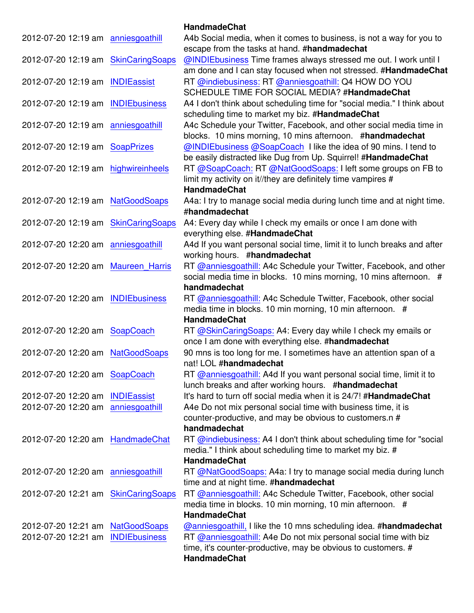|                                     |                        | <b>HandmadeChat</b>                                                                                                               |
|-------------------------------------|------------------------|-----------------------------------------------------------------------------------------------------------------------------------|
| 2012-07-20 12:19 am anniesgoathill  |                        | A4b Social media, when it comes to business, is not a way for you to<br>escape from the tasks at hand. #handmadechat              |
| 2012-07-20 12:19 am                 | <b>SkinCaringSoaps</b> | @INDIEbusiness Time frames always stressed me out. I work until I                                                                 |
|                                     |                        | am done and I can stay focused when not stressed. #HandmadeChat                                                                   |
| 2012-07-20 12:19 am INDIEassist     |                        | RT @indiebusiness: RT @anniesgoathill: Q4 HOW DO YOU                                                                              |
| 2012-07-20 12:19 am INDIEbusiness   |                        | SCHEDULE TIME FOR SOCIAL MEDIA? #HandmadeChat<br>A4 I don't think about scheduling time for "social media." I think about         |
|                                     |                        | scheduling time to market my biz. #HandmadeChat                                                                                   |
| 2012-07-20 12:19 am                 | anniesgoathill         | A4c Schedule your Twitter, Facebook, and other social media time in                                                               |
|                                     |                        | blocks. 10 mins morning, 10 mins afternoon. #handmadechat                                                                         |
| 2012-07-20 12:19 am SoapPrizes      |                        | @INDIEbusiness @SoapCoach I like the idea of 90 mins. I tend to                                                                   |
|                                     |                        | be easily distracted like Dug from Up. Squirrel! #HandmadeChat                                                                    |
| 2012-07-20 12:19 am highwireinheels |                        | RT @SoapCoach: RT @NatGoodSoaps: I left some groups on FB to                                                                      |
|                                     |                        | limit my activity on it//they are definitely time vampires #                                                                      |
|                                     |                        | <b>HandmadeChat</b>                                                                                                               |
| 2012-07-20 12:19 am NatGoodSoaps    |                        | A4a: I try to manage social media during lunch time and at night time.                                                            |
|                                     |                        | #handmadechat                                                                                                                     |
| 2012-07-20 12:19 am SkinCaringSoaps |                        | A4: Every day while I check my emails or once I am done with<br>everything else. #HandmadeChat                                    |
| 2012-07-20 12:20 am anniesgoathill  |                        | A4d If you want personal social time, limit it to lunch breaks and after                                                          |
|                                     |                        | working hours. #handmadechat                                                                                                      |
| 2012-07-20 12:20 am Maureen Harris  |                        | RT @anniesgoathill: A4c Schedule your Twitter, Facebook, and other                                                                |
|                                     |                        | social media time in blocks. 10 mins morning, 10 mins afternoon. #                                                                |
|                                     |                        | handmadechat                                                                                                                      |
| 2012-07-20 12:20 am INDIEbusiness   |                        | RT @anniesgoathill: A4c Schedule Twitter, Facebook, other social                                                                  |
|                                     |                        | media time in blocks. 10 min morning, 10 min afternoon. #                                                                         |
|                                     |                        | <b>HandmadeChat</b>                                                                                                               |
| 2012-07-20 12:20 am SoapCoach       |                        | RT @SkinCaringSoaps: A4: Every day while I check my emails or                                                                     |
|                                     |                        | once I am done with everything else. #handmadechat                                                                                |
| 2012-07-20 12:20 am NatGoodSoaps    |                        | 90 mns is too long for me. I sometimes have an attention span of a                                                                |
|                                     |                        | nat! LOL #handmadechat                                                                                                            |
| 2012-07-20 12:20 am SoapCoach       |                        | RT @anniesgoathill: A4d If you want personal social time, limit it to<br>lunch breaks and after working hours. #handmadechat      |
| 2012-07-20 12:20 am                 | <b>INDIEassist</b>     | It's hard to turn off social media when it is 24/7! #HandmadeChat                                                                 |
| 2012-07-20 12:20 am                 | anniesgoathill         | A4e Do not mix personal social time with business time, it is                                                                     |
|                                     |                        | counter-productive, and may be obvious to customers.n #                                                                           |
|                                     |                        | handmadechat                                                                                                                      |
| 2012-07-20 12:20 am HandmadeChat    |                        | RT @indiebusiness: A4 I don't think about scheduling time for "social                                                             |
|                                     |                        | media." I think about scheduling time to market my biz. #                                                                         |
|                                     |                        | <b>HandmadeChat</b>                                                                                                               |
| 2012-07-20 12:20 am anniesgoathill  |                        | RT @NatGoodSoaps: A4a: I try to manage social media during lunch                                                                  |
|                                     |                        | time and at night time. #handmadechat                                                                                             |
| 2012-07-20 12:21 am SkinCaringSoaps |                        | RT @anniesgoathill: A4c Schedule Twitter, Facebook, other social                                                                  |
|                                     |                        | media time in blocks. 10 min morning, 10 min afternoon. #                                                                         |
|                                     |                        | <b>HandmadeChat</b>                                                                                                               |
| 2012-07-20 12:21 am                 | <b>NatGoodSoaps</b>    | @anniesgoathill, I like the 10 mns scheduling idea. #handmadechat                                                                 |
| 2012-07-20 12:21 am                 | <b>INDIEbusiness</b>   | RT @anniesgoathill: A4e Do not mix personal social time with biz<br>time, it's counter-productive, may be obvious to customers. # |
|                                     |                        | <b>HandmadeChat</b>                                                                                                               |
|                                     |                        |                                                                                                                                   |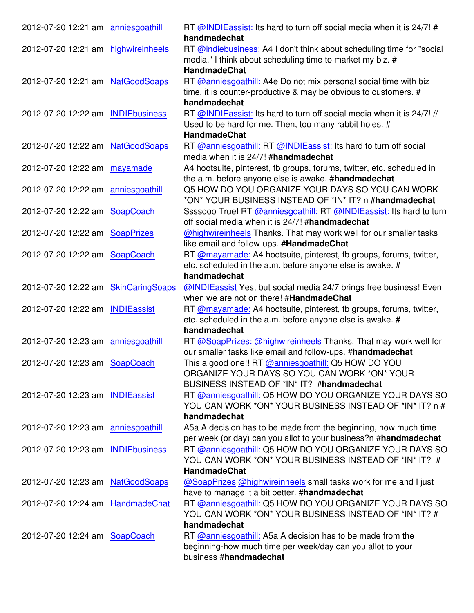| 2012-07-20 12:21 am anniesgoathill  | RT @INDIEassist: Its hard to turn off social media when it is 24/7! #  |
|-------------------------------------|------------------------------------------------------------------------|
|                                     | handmadechat                                                           |
| 2012-07-20 12:21 am highwireinheels | RT @indiebusiness: A4 I don't think about scheduling time for "social  |
|                                     | media." I think about scheduling time to market my biz. #              |
|                                     | <b>HandmadeChat</b>                                                    |
| 2012-07-20 12:21 am NatGoodSoaps    | RT @anniesgoathill: A4e Do not mix personal social time with biz       |
|                                     | time, it is counter-productive & may be obvious to customers. #        |
|                                     | handmadechat                                                           |
| 2012-07-20 12:22 am INDIEbusiness   | RT @INDIEassist: Its hard to turn off social media when it is 24/7! // |
|                                     | Used to be hard for me. Then, too many rabbit holes. #                 |
|                                     | <b>HandmadeChat</b>                                                    |
|                                     |                                                                        |
| 2012-07-20 12:22 am NatGoodSoaps    | RT @anniesgoathill: RT @INDIEassist: Its hard to turn off social       |
|                                     | media when it is 24/7! #handmadechat                                   |
| 2012-07-20 12:22 am mayamade        | A4 hootsuite, pinterest, fb groups, forums, twitter, etc. scheduled in |
|                                     | the a.m. before anyone else is awake. #handmadechat                    |
| 2012-07-20 12:22 am anniesgoathill  | Q5 HOW DO YOU ORGANIZE YOUR DAYS SO YOU CAN WORK                       |
|                                     | *ON* YOUR BUSINESS INSTEAD OF *IN* IT? n #handmadechat                 |
| 2012-07-20 12:22 am SoapCoach       | Ssssooo True! RT @anniesgoathill: RT @INDIEassist: Its hard to turn    |
|                                     | off social media when it is 24/7! #handmadechat                        |
| 2012-07-20 12:22 am SoapPrizes      | @highwireinheels Thanks. That may work well for our smaller tasks      |
|                                     | like email and follow-ups. #HandmadeChat                               |
| 2012-07-20 12:22 am SoapCoach       | RT @mayamade: A4 hootsuite, pinterest, fb groups, forums, twitter,     |
|                                     |                                                                        |
|                                     | etc. scheduled in the a.m. before anyone else is awake. #              |
|                                     | handmadechat                                                           |
| 2012-07-20 12:22 am SkinCaringSoaps | @INDIEassist Yes, but social media 24/7 brings free business! Even     |
|                                     | when we are not on there! #HandmadeChat                                |
| 2012-07-20 12:22 am INDIEassist     | RT @mayamade: A4 hootsuite, pinterest, fb groups, forums, twitter,     |
|                                     | etc. scheduled in the a.m. before anyone else is awake. #              |
|                                     | handmadechat                                                           |
| 2012-07-20 12:23 am anniesgoathill  | RT @SoapPrizes: @highwireinheels Thanks. That may work well for        |
|                                     | our smaller tasks like email and follow-ups. #handmadechat             |
| 2012-07-20 12:23 am SoapCoach       | This a good one!! RT @anniesgoathill: Q5 HOW DO YOU                    |
|                                     | ORGANIZE YOUR DAYS SO YOU CAN WORK *ON* YOUR                           |
|                                     | BUSINESS INSTEAD OF *IN* IT? #handmadechat                             |
| 2012-07-20 12:23 am INDIEassist     | RT @anniesgoathill: Q5 HOW DO YOU ORGANIZE YOUR DAYS SO                |
|                                     |                                                                        |
|                                     | YOU CAN WORK *ON* YOUR BUSINESS INSTEAD OF *IN* IT? n #                |
|                                     | handmadechat                                                           |
| 2012-07-20 12:23 am anniesgoathill  | A5a A decision has to be made from the beginning, how much time        |
|                                     | per week (or day) can you allot to your business?n #handmadechat       |
| 2012-07-20 12:23 am INDIEbusiness   | RT @anniesgoathill: Q5 HOW DO YOU ORGANIZE YOUR DAYS SO                |
|                                     | YOU CAN WORK *ON* YOUR BUSINESS INSTEAD OF *IN* IT? #                  |
|                                     | <b>HandmadeChat</b>                                                    |
| 2012-07-20 12:23 am NatGoodSoaps    | @SoapPrizes @highwireinheels small tasks work for me and I just        |
|                                     | have to manage it a bit better. #handmadechat                          |
| 2012-07-20 12:24 am HandmadeChat    | RT @anniesgoathill: Q5 HOW DO YOU ORGANIZE YOUR DAYS SO                |
|                                     | YOU CAN WORK *ON* YOUR BUSINESS INSTEAD OF *IN* IT? #                  |
|                                     | handmadechat                                                           |
| 2012-07-20 12:24 am SoapCoach       | RT @anniesgoathill: A5a A decision has to be made from the             |
|                                     | beginning-how much time per week/day can you allot to your             |
|                                     | business #handmadechat                                                 |
|                                     |                                                                        |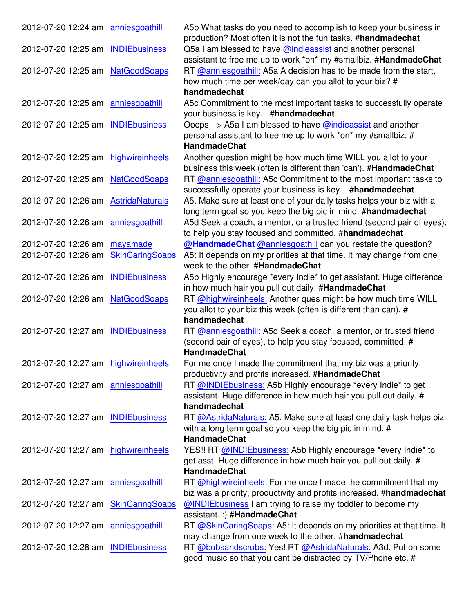| 2012-07-20 12:24 am anniesgoathill  |                        | A5b What tasks do you need to accomplish to keep your business in      |
|-------------------------------------|------------------------|------------------------------------------------------------------------|
|                                     |                        | production? Most often it is not the fun tasks. #handmadechat          |
| 2012-07-20 12:25 am INDIEbusiness   |                        | Q5a I am blessed to have @indieassist and another personal             |
|                                     |                        | assistant to free me up to work *on* my #smallbiz. #HandmadeChat       |
| 2012-07-20 12:25 am                 | <b>NatGoodSoaps</b>    | RT @anniesgoathill: A5a A decision has to be made from the start,      |
|                                     |                        | how much time per week/day can you allot to your biz? #                |
|                                     |                        | handmadechat                                                           |
| 2012-07-20 12:25 am anniesgoathill  |                        | A5c Commitment to the most important tasks to successfully operate     |
|                                     |                        | your business is key. #handmadechat                                    |
| 2012-07-20 12:25 am                 | <b>INDIEbusiness</b>   | Ooops --> A5a I am blessed to have @indieassist and another            |
|                                     |                        | personal assistant to free me up to work *on* my #smallbiz. #          |
|                                     |                        | <b>HandmadeChat</b>                                                    |
| 2012-07-20 12:25 am                 | highwireinheels        | Another question might be how much time WILL you allot to your         |
|                                     |                        | business this week (often is different than 'can'). #HandmadeChat      |
| 2012-07-20 12:25 am NatGoodSoaps    |                        | RT @anniesgoathill: A5c Commitment to the most important tasks to      |
|                                     |                        | successfully operate your business is key. #handmadechat               |
|                                     |                        |                                                                        |
| 2012-07-20 12:26 am                 | <b>AstridaNaturals</b> | A5. Make sure at least one of your daily tasks helps your biz with a   |
|                                     |                        | long term goal so you keep the big pic in mind. #handmadechat          |
| 2012-07-20 12:26 am                 | anniesgoathill         | A5d Seek a coach, a mentor, or a trusted friend (second pair of eyes), |
|                                     |                        | to help you stay focused and committed. #handmadechat                  |
| 2012-07-20 12:26 am                 | mayamade               | @HandmadeChat @anniesgoathill can you restate the question?            |
| 2012-07-20 12:26 am                 | <b>SkinCaringSoaps</b> | A5: It depends on my priorities at that time. It may change from one   |
|                                     |                        | week to the other. #HandmadeChat                                       |
| 2012-07-20 12:26 am INDIEbusiness   |                        | A5b Highly encourage *every Indie* to get assistant. Huge difference   |
|                                     |                        | in how much hair you pull out daily. #HandmadeChat                     |
| 2012-07-20 12:26 am NatGoodSoaps    |                        | RT @highwireinheels: Another ques might be how much time WILL          |
|                                     |                        | you allot to your biz this week (often is different than can). #       |
|                                     |                        | handmadechat                                                           |
| 2012-07-20 12:27 am INDIEbusiness   |                        | RT @anniesgoathill: A5d Seek a coach, a mentor, or trusted friend      |
|                                     |                        | (second pair of eyes), to help you stay focused, committed. #          |
|                                     |                        | <b>HandmadeChat</b>                                                    |
| 2012-07-20 12:27 am highwireinheels |                        | For me once I made the commitment that my biz was a priority,          |
|                                     |                        | productivity and profits increased. #HandmadeChat                      |
| 2012-07-20 12:27 am anniesgoathill  |                        | RT @INDIEbusiness: A5b Highly encourage *every Indie* to get           |
|                                     |                        | assistant. Huge difference in how much hair you pull out daily. #      |
|                                     |                        | handmadechat                                                           |
| 2012-07-20 12:27 am INDIEbusiness   |                        |                                                                        |
|                                     |                        | RT @AstridaNaturals: A5. Make sure at least one daily task helps biz   |
|                                     |                        | with a long term goal so you keep the big pic in mind. #               |
|                                     |                        | <b>HandmadeChat</b>                                                    |
| 2012-07-20 12:27 am highwireinheels |                        | YES!! RT @INDIEbusiness: A5b Highly encourage *every Indie* to         |
|                                     |                        | get asst. Huge difference in how much hair you pull out daily. #       |
|                                     |                        | <b>HandmadeChat</b>                                                    |
| 2012-07-20 12:27 am anniesgoathill  |                        | RT @highwireinheels: For me once I made the commitment that my         |
|                                     |                        | biz was a priority, productivity and profits increased. #handmadechat  |
| 2012-07-20 12:27 am SkinCaringSoaps |                        | @INDIEbusiness I am trying to raise my toddler to become my            |
|                                     |                        | assistant. :) #HandmadeChat                                            |
| 2012-07-20 12:27 am anniesgoathill  |                        | RT @SkinCaringSoaps: A5: It depends on my priorities at that time. It  |
|                                     |                        | may change from one week to the other. #handmadechat                   |
| 2012-07-20 12:28 am                 | <b>INDIEbusiness</b>   | RT @bubsandscrubs: Yes! RT @AstridaNaturals: A3d. Put on some          |
|                                     |                        | good music so that you cant be distracted by TV/Phone etc. #           |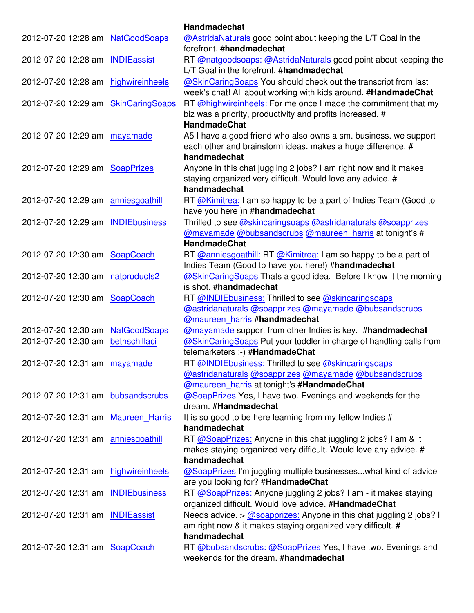|                                     |                        | <b>Handmadechat</b>                                                                                                                                               |
|-------------------------------------|------------------------|-------------------------------------------------------------------------------------------------------------------------------------------------------------------|
| 2012-07-20 12:28 am NatGoodSoaps    |                        | @AstridaNaturals good point about keeping the L/T Goal in the<br>forefront. #handmadechat                                                                         |
| 2012-07-20 12:28 am INDIEassist     |                        | RT @natgoodsoaps: @AstridaNaturals good point about keeping the<br>L/T Goal in the forefront. #handmadechat                                                       |
| 2012-07-20 12:28 am                 | highwireinheels        | @SkinCaringSoaps You should check out the transcript from last<br>week's chat! All about working with kids around. #HandmadeChat                                  |
| 2012-07-20 12:29 am                 | <b>SkinCaringSoaps</b> | RT @highwireinheels: For me once I made the commitment that my<br>biz was a priority, productivity and profits increased. #<br><b>HandmadeChat</b>                |
| 2012-07-20 12:29 am                 | mayamade               | A5 I have a good friend who also owns a sm. business. we support<br>each other and brainstorm ideas. makes a huge difference. #<br>handmadechat                   |
| 2012-07-20 12:29 am SoapPrizes      |                        | Anyone in this chat juggling 2 jobs? I am right now and it makes<br>staying organized very difficult. Would love any advice. #<br>handmadechat                    |
| 2012-07-20 12:29 am anniesgoathill  |                        | RT @Kimitrea: I am so happy to be a part of Indies Team (Good to<br>have you here!)n #handmadechat                                                                |
| 2012-07-20 12:29 am INDIEbusiness   |                        | Thrilled to see @skincaringsoaps @astridanaturals @soapprizes<br>@mayamade @bubsandscrubs @maureen_harris at tonight's #<br><b>HandmadeChat</b>                   |
| 2012-07-20 12:30 am SoapCoach       |                        | RT @anniesgoathill: RT @Kimitrea: I am so happy to be a part of<br>Indies Team (Good to have you here!) #handmadechat                                             |
| 2012-07-20 12:30 am                 | natproducts2           | @SkinCaringSoaps Thats a good idea. Before I know it the morning<br>is shot. #handmadechat                                                                        |
| 2012-07-20 12:30 am SoapCoach       |                        | RT @INDIEbusiness: Thrilled to see @skincaringsoaps<br>@astridanaturals @soapprizes @mayamade @bubsandscrubs<br>@maureen_harris #handmadechat                     |
| 2012-07-20 12:30 am                 | <b>NatGoodSoaps</b>    | @mayamade support from other Indies is key. #handmadechat                                                                                                         |
| 2012-07-20 12:30 am                 | bethschillaci          | @SkinCaringSoaps Put your toddler in charge of handling calls from<br>telemarketers ;-) #HandmadeChat                                                             |
| 2012-07-20 12:31 am mayamade        |                        | RT @INDIEbusiness: Thrilled to see @skincaringsoaps<br>@astridanaturals @soapprizes @mayamade @bubsandscrubs<br><b>@maureen_harris at tonight's #HandmadeChat</b> |
| 2012-07-20 12:31 am bubsandscrubs   |                        | @SoapPrizes Yes, I have two. Evenings and weekends for the<br>dream. #Handmadechat                                                                                |
| 2012-07-20 12:31 am Maureen Harris  |                        | It is so good to be here learning from my fellow Indies #<br>handmadechat                                                                                         |
| 2012-07-20 12:31 am anniesgoathill  |                        | RT @SoapPrizes: Anyone in this chat juggling 2 jobs? I am & it<br>makes staying organized very difficult. Would love any advice. #<br>handmadechat                |
| 2012-07-20 12:31 am highwireinheels |                        | @SoapPrizes I'm juggling multiple businesseswhat kind of advice<br>are you looking for? #HandmadeChat                                                             |
| 2012-07-20 12:31 am INDIEbusiness   |                        | RT @SoapPrizes: Anyone juggling 2 jobs? I am - it makes staying<br>organized difficult. Would love advice. #HandmadeChat                                          |
| 2012-07-20 12:31 am INDIEassist     |                        | Needs advice. > @soapprizes: Anyone in this chat juggling 2 jobs? I<br>am right now & it makes staying organized very difficult. #<br>handmadechat                |
| 2012-07-20 12:31 am SoapCoach       |                        | RT @bubsandscrubs: @SoapPrizes Yes, I have two. Evenings and<br>weekends for the dream. #handmadechat                                                             |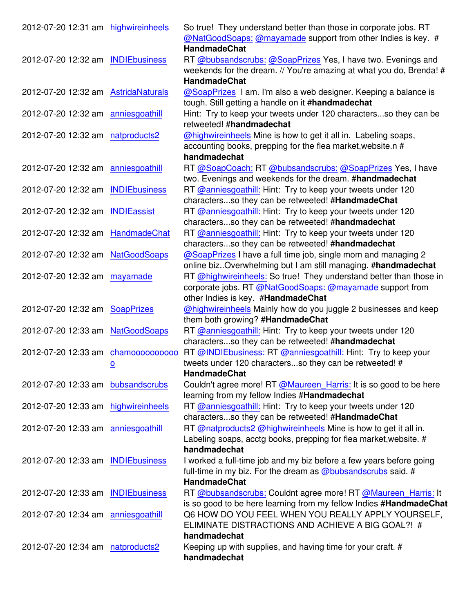| 2012-07-20 12:31 am highwireinheels |                         | So true! They understand better than those in corporate jobs. RT    |
|-------------------------------------|-------------------------|---------------------------------------------------------------------|
|                                     |                         | @NatGoodSoaps: @mayamade support from other Indies is key. #        |
|                                     |                         | <b>HandmadeChat</b>                                                 |
| 2012-07-20 12:32 am                 | <b>INDIEbusiness</b>    | RT @bubsandscrubs: @SoapPrizes Yes, I have two. Evenings and        |
|                                     |                         | weekends for the dream. // You're amazing at what you do, Brenda! # |
|                                     |                         | <b>HandmadeChat</b>                                                 |
| 2012-07-20 12:32 am AstridaNaturals |                         | @SoapPrizes I am. I'm also a web designer. Keeping a balance is     |
|                                     |                         | tough. Still getting a handle on it #handmadechat                   |
| 2012-07-20 12:32 am anniesgoathill  |                         | Hint: Try to keep your tweets under 120 charactersso they can be    |
|                                     |                         | retweeted! #handmadechat                                            |
| 2012-07-20 12:32 am                 | natproducts2            | @highwireinheels Mine is how to get it all in. Labeling soaps,      |
|                                     |                         | accounting books, prepping for the flea market, website.n #         |
|                                     |                         | handmadechat                                                        |
| 2012-07-20 12:32 am anniesgoathill  |                         | RT @SoapCoach: RT @bubsandscrubs: @SoapPrizes Yes, I have           |
|                                     |                         | two. Evenings and weekends for the dream. #handmadechat             |
| 2012-07-20 12:32 am                 | <b>INDIEbusiness</b>    | RT @anniesgoathill: Hint: Try to keep your tweets under 120         |
|                                     |                         | charactersso they can be retweeted! #HandmadeChat                   |
| 2012-07-20 12:32 am                 | <b>INDIEassist</b>      | RT @anniesgoathill: Hint: Try to keep your tweets under 120         |
|                                     |                         | charactersso they can be retweeted! #handmadechat                   |
| 2012-07-20 12:32 am                 | HandmadeChat            | RT @anniesgoathill: Hint: Try to keep your tweets under 120         |
|                                     |                         | charactersso they can be retweeted! #handmadechat                   |
| 2012-07-20 12:32 am                 | <b>NatGoodSoaps</b>     | @SoapPrizes I have a full time job, single mom and managing 2       |
|                                     |                         | online biz. Overwhelming but I am still managing. #handmadechat     |
| 2012-07-20 12:32 am                 | mayamade                | RT @highwireinheels: So true! They understand better than those in  |
|                                     |                         | corporate jobs. RT @NatGoodSoaps: @mayamade support from            |
|                                     |                         | other Indies is key. #HandmadeChat                                  |
| 2012-07-20 12:32 am SoapPrizes      |                         | @highwireinheels Mainly how do you juggle 2 businesses and keep     |
|                                     |                         | them both growing? #HandmadeChat                                    |
| 2012-07-20 12:33 am                 | <b>NatGoodSoaps</b>     | RT @anniesgoathill: Hint: Try to keep your tweets under 120         |
|                                     |                         | charactersso they can be retweeted! #handmadechat                   |
| 2012-07-20 12:33 am                 | chamoooooooooo          | RT @INDIEbusiness: RT @anniesgoathill: Hint: Try to keep your       |
|                                     | $\overline{\mathbf{o}}$ | tweets under 120 charactersso they can be retweeted! #              |
|                                     |                         | <b>HandmadeChat</b>                                                 |
| 2012-07-20 12:33 am bubsandscrubs   |                         | Couldn't agree more! RT @Maureen_Harris: It is so good to be here   |
|                                     |                         | learning from my fellow Indies #Handmadechat                        |
| 2012-07-20 12:33 am highwireinheels |                         | RT @anniesgoathill: Hint: Try to keep your tweets under 120         |
|                                     |                         | charactersso they can be retweeted! #HandmadeChat                   |
| 2012-07-20 12:33 am                 | anniesgoathill          | RT @natproducts2 @highwireinheels Mine is how to get it all in.     |
|                                     |                         | Labeling soaps, acctg books, prepping for flea market, website. #   |
|                                     |                         | handmadechat                                                        |
| 2012-07-20 12:33 am INDIEbusiness   |                         | I worked a full-time job and my biz before a few years before going |
|                                     |                         | full-time in my biz. For the dream as @bubsandscrubs said. #        |
|                                     |                         | <b>HandmadeChat</b>                                                 |
| 2012-07-20 12:33 am                 | <b>INDIEbusiness</b>    | RT @bubsandscrubs: Couldnt agree more! RT @Maureen_Harris: It       |
|                                     |                         | is so good to be here learning from my fellow Indies #HandmadeChat  |
| 2012-07-20 12:34 am anniesgoathill  |                         | Q6 HOW DO YOU FEEL WHEN YOU REALLY APPLY YOURSELF,                  |
|                                     |                         | ELIMINATE DISTRACTIONS AND ACHIEVE A BIG GOAL?! #                   |
|                                     |                         | handmadechat                                                        |
| 2012-07-20 12:34 am                 | natproducts2            | Keeping up with supplies, and having time for your craft. #         |
|                                     |                         | handmadechat                                                        |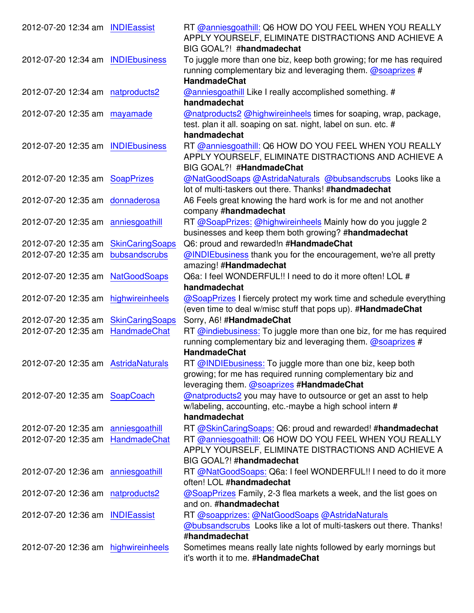| 2012-07-20 12:34 am INDIEassist     |                        | RT @anniesgoathill: Q6 HOW DO YOU FEEL WHEN YOU REALLY<br>APPLY YOURSELF, ELIMINATE DISTRACTIONS AND ACHIEVE A<br>BIG GOAL?! #handmadechat                           |
|-------------------------------------|------------------------|----------------------------------------------------------------------------------------------------------------------------------------------------------------------|
| 2012-07-20 12:34 am INDIEbusiness   |                        | To juggle more than one biz, keep both growing; for me has required<br>running complementary biz and leveraging them. $\omega$ soaprizes #<br><b>HandmadeChat</b>    |
| 2012-07-20 12:34 am natproducts2    |                        | @anniesgoathill Like I really accomplished something. #<br>handmadechat                                                                                              |
| 2012-07-20 12:35 am mayamade        |                        | @natproducts2 @highwireinheels times for soaping, wrap, package,<br>test. plan it all. soaping on sat. night, label on sun. etc. #<br>handmadechat                   |
| 2012-07-20 12:35 am                 | <b>INDIEbusiness</b>   | RT @anniesgoathill: Q6 HOW DO YOU FEEL WHEN YOU REALLY<br>APPLY YOURSELF, ELIMINATE DISTRACTIONS AND ACHIEVE A<br>BIG GOAL?! #HandmadeChat                           |
| 2012-07-20 12:35 am SoapPrizes      |                        | @NatGoodSoaps @AstridaNaturals @bubsandscrubs Looks like a<br>lot of multi-taskers out there. Thanks! #handmadechat                                                  |
| 2012-07-20 12:35 am                 | donnaderosa            | A6 Feels great knowing the hard work is for me and not another<br>company #handmadechat                                                                              |
| 2012-07-20 12:35 am anniesgoathill  |                        | RT @SoapPrizes: @highwireinheels Mainly how do you juggle 2<br>businesses and keep them both growing? #handmadechat                                                  |
| 2012-07-20 12:35 am                 | <b>SkinCaringSoaps</b> | Q6: proud and rewarded!n #HandmadeChat                                                                                                                               |
| 2012-07-20 12:35 am                 | bubsandscrubs          | @INDIEbusiness thank you for the encouragement, we're all pretty<br>amazing! #Handmadechat                                                                           |
| 2012-07-20 12:35 am NatGoodSoaps    |                        | Q6a: I feel WONDERFUL!! I need to do it more often! LOL #<br>handmadechat                                                                                            |
| 2012-07-20 12:35 am                 | highwireinheels        | @SoapPrizes I fiercely protect my work time and schedule everything<br>(even time to deal w/misc stuff that pops up). #HandmadeChat                                  |
| 2012-07-20 12:35 am                 | <b>SkinCaringSoaps</b> | Sorry, A6! #HandmadeChat                                                                                                                                             |
| 2012-07-20 12:35 am                 | HandmadeChat           | RT @indiebusiness: To juggle more than one biz, for me has required<br>running complementary biz and leveraging them. $\omega$ soaprizes #<br><b>HandmadeChat</b>    |
| 2012-07-20 12:35 am AstridaNaturals |                        | RT @INDIEbusiness: To juggle more than one biz, keep both<br>growing; for me has required running complementary biz and<br>leveraging them. @soaprizes #HandmadeChat |
| 2012-07-20 12:35 am SoapCoach       |                        | @natproducts2 you may have to outsource or get an asst to help<br>w/labeling, accounting, etc.-maybe a high school intern #<br>handmadechat                          |
| 2012-07-20 12:35 am                 | anniesgoathill         | RT @SkinCaringSoaps: Q6: proud and rewarded! #handmadechat                                                                                                           |
| 2012-07-20 12:35 am HandmadeChat    |                        | RT @anniesgoathill: Q6 HOW DO YOU FEEL WHEN YOU REALLY<br>APPLY YOURSELF, ELIMINATE DISTRACTIONS AND ACHIEVE A                                                       |
| 2012-07-20 12:36 am anniesgoathill  |                        | BIG GOAL?! #handmadechat<br>RT @NatGoodSoaps: Q6a: I feel WONDERFUL!! I need to do it more<br>often! LOL #handmadechat                                               |
| 2012-07-20 12:36 am natproducts2    |                        | @SoapPrizes Family, 2-3 flea markets a week, and the list goes on<br>and on. #handmadechat                                                                           |
| 2012-07-20 12:36 am INDIEassist     |                        | RT @soapprizes: @NatGoodSoaps @AstridaNaturals<br>@bubsandscrubs Looks like a lot of multi-taskers out there. Thanks!<br>#handmadechat                               |
| 2012-07-20 12:36 am highwireinheels |                        | Sometimes means really late nights followed by early mornings but<br>it's worth it to me. #HandmadeChat                                                              |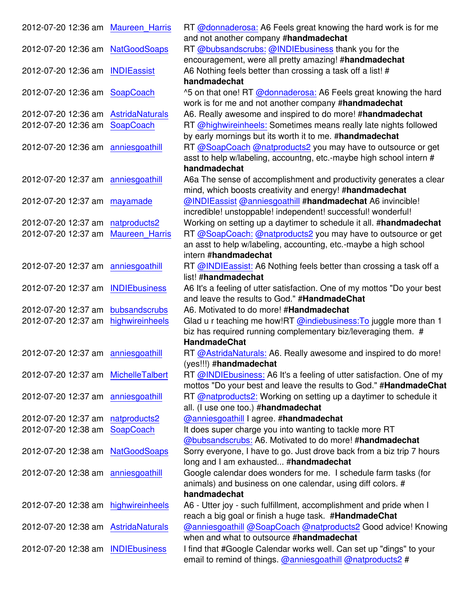| 2012-07-20 12:36 am Maureen Harris  |                        | RT @donnaderosa: A6 Feels great knowing the hard work is for me                                                                            |
|-------------------------------------|------------------------|--------------------------------------------------------------------------------------------------------------------------------------------|
|                                     |                        | and not another company #handmadechat                                                                                                      |
| 2012-07-20 12:36 am NatGoodSoaps    |                        | RT @bubsandscrubs: @INDIEbusiness thank you for the                                                                                        |
|                                     |                        | encouragement, were all pretty amazing! #handmadechat                                                                                      |
| 2012-07-20 12:36 am                 | <b>INDIEassist</b>     | A6 Nothing feels better than crossing a task off a list! #<br>handmadechat                                                                 |
| 2012-07-20 12:36 am SoapCoach       |                        | ^5 on that one! RT @donnaderosa: A6 Feels great knowing the hard<br>work is for me and not another company #handmadechat                   |
| 2012-07-20 12:36 am                 | <b>AstridaNaturals</b> | A6. Really awesome and inspired to do more! #handmadechat                                                                                  |
| 2012-07-20 12:36 am                 | SoapCoach              | RT @highwireinheels: Sometimes means really late nights followed<br>by early mornings but its worth it to me. #handmadechat                |
| 2012-07-20 12:36 am anniesgoathill  |                        | RT @SoapCoach @natproducts2 you may have to outsource or get<br>asst to help w/labeling, accountng, etc.-maybe high school intern #        |
| 2012-07-20 12:37 am anniesgoathill  |                        | handmadechat                                                                                                                               |
|                                     |                        | A6a The sense of accomplishment and productivity generates a clear<br>mind, which boosts creativity and energy! #handmadechat              |
| 2012-07-20 12:37 am mayamade        |                        | @INDIEassist @anniesgoathill #handmadechat A6 invincible!                                                                                  |
|                                     |                        | incredible! unstoppable! independent! successful! wonderful!                                                                               |
| 2012-07-20 12:37 am                 | natproducts2           | Working on setting up a daytimer to schedule it all. #handmadechat                                                                         |
| 2012-07-20 12:37 am                 | <b>Maureen Harris</b>  | RT @SoapCoach: @natproducts2 you may have to outsource or get                                                                              |
|                                     |                        | an asst to help w/labeling, accounting, etc.-maybe a high school                                                                           |
|                                     |                        | intern #handmadechat                                                                                                                       |
| 2012-07-20 12:37 am anniesgoathill  |                        | RT @INDIEassist: A6 Nothing feels better than crossing a task off a                                                                        |
|                                     |                        | list! #handmadechat                                                                                                                        |
| 2012-07-20 12:37 am                 | <b>INDIEbusiness</b>   | A6 It's a feeling of utter satisfaction. One of my mottos "Do your best                                                                    |
|                                     |                        | and leave the results to God." #HandmadeChat                                                                                               |
| 2012-07-20 12:37 am                 | bubsandscrubs          | A6. Motivated to do more! #Handmadechat                                                                                                    |
| 2012-07-20 12:37 am                 | highwireinheels        | Glad u r teaching me how!RT @indiebusiness: To juggle more than 1<br>biz has required running complementary biz/leveraging them. #         |
|                                     |                        | <b>HandmadeChat</b>                                                                                                                        |
| 2012-07-20 12:37 am anniesgoathill  |                        | RT @AstridaNaturals: A6. Really awesome and inspired to do more!<br>(yes!!!) #handmadechat                                                 |
| 2012-07-20 12:37 am MichelleTalbert |                        | RT @INDIEbusiness: A6 It's a feeling of utter satisfaction. One of my<br>mottos "Do your best and leave the results to God." #HandmadeChat |
| 2012-07-20 12:37 am anniesgoathill  |                        | RT @natproducts2: Working on setting up a daytimer to schedule it                                                                          |
|                                     |                        | all. (I use one too.) #handmadechat                                                                                                        |
| 2012-07-20 12:37 am                 | natproducts2           | <b>@anniesgoathill I agree. #handmadechat</b>                                                                                              |
| 2012-07-20 12:38 am                 | SoapCoach              | It does super charge you into wanting to tackle more RT                                                                                    |
|                                     |                        | @bubsandscrubs: A6. Motivated to do more! #handmadechat                                                                                    |
| 2012-07-20 12:38 am NatGoodSoaps    |                        | Sorry everyone, I have to go. Just drove back from a biz trip 7 hours                                                                      |
|                                     |                        | long and I am exhausted #handmadechat                                                                                                      |
| 2012-07-20 12:38 am anniesgoathill  |                        | Google calendar does wonders for me. I schedule farm tasks (for                                                                            |
|                                     |                        | animals) and business on one calendar, using diff colors. #                                                                                |
|                                     |                        | handmadechat                                                                                                                               |
| 2012-07-20 12:38 am highwireinheels |                        | A6 - Utter joy - such fulfillment, accomplishment and pride when I                                                                         |
|                                     |                        | reach a big goal or finish a huge task. #HandmadeChat                                                                                      |
| 2012-07-20 12:38 am AstridaNaturals |                        | @anniesgoathill @SoapCoach @natproducts2 Good advice! Knowing                                                                              |
|                                     |                        | when and what to outsource #handmadechat                                                                                                   |
| 2012-07-20 12:38 am                 | <b>INDIEbusiness</b>   | I find that #Google Calendar works well. Can set up "dings" to your<br>email to remind of things. @anniesgoathill @natproducts2 #          |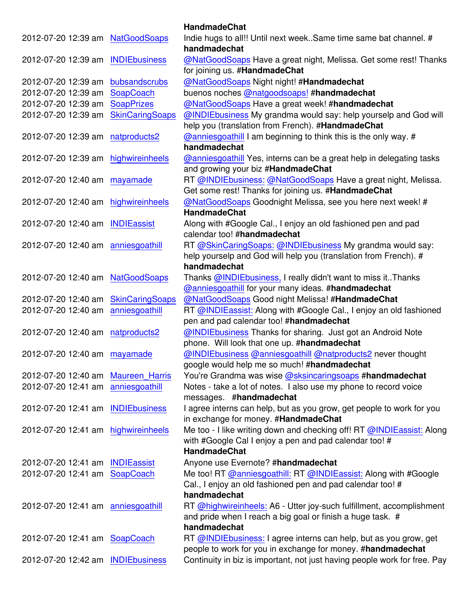|                                    |                        | <b>HandmadeChat</b>                                                                               |
|------------------------------------|------------------------|---------------------------------------------------------------------------------------------------|
| 2012-07-20 12:39 am                | <b>NatGoodSoaps</b>    | Indie hugs to all!! Until next week. Same time same bat channel. #<br>handmadechat                |
| 2012-07-20 12:39 am INDIEbusiness  |                        | @NatGoodSoaps Have a great night, Melissa. Get some rest! Thanks<br>for joining us. #HandmadeChat |
| 2012-07-20 12:39 am                | bubsandscrubs          | @NatGoodSoaps Night night! #Handmadechat                                                          |
| 2012-07-20 12:39 am                | SoapCoach              | buenos noches @natgoodsoaps! #handmadechat                                                        |
| 2012-07-20 12:39 am                | <b>SoapPrizes</b>      | @NatGoodSoaps Have a great week! #handmadechat                                                    |
| 2012-07-20 12:39 am                | <b>SkinCaringSoaps</b> | @INDIEbusiness My grandma would say: help yourselp and God will                                   |
|                                    |                        | help you (translation from French). #HandmadeChat                                                 |
| 2012-07-20 12:39 am                | natproducts2           | @anniesgoathill I am beginning to think this is the only way. #                                   |
|                                    |                        | handmadechat                                                                                      |
| 2012-07-20 12:39 am                | highwireinheels        | <b>@anniesgoathill Yes, interns can be a great help in delegating tasks</b>                       |
|                                    |                        | and growing your biz #HandmadeChat                                                                |
| 2012-07-20 12:40 am mayamade       |                        | RT @INDIEbusiness: @NatGoodSoaps Have a great night, Melissa.                                     |
|                                    |                        | Get some rest! Thanks for joining us. #HandmadeChat                                               |
| 2012-07-20 12:40 am                | highwireinheels        | @NatGoodSoaps Goodnight Melissa, see you here next week! #                                        |
|                                    |                        | <b>HandmadeChat</b>                                                                               |
| 2012-07-20 12:40 am INDIEassist    |                        | Along with #Google Cal., I enjoy an old fashioned pen and pad                                     |
|                                    |                        | calendar too! #handmadechat                                                                       |
| 2012-07-20 12:40 am anniesgoathill |                        | RT @SkinCaringSoaps: @INDIEbusiness My grandma would say:                                         |
|                                    |                        | help yourselp and God will help you (translation from French). #                                  |
|                                    |                        | handmadechat                                                                                      |
| 2012-07-20 12:40 am NatGoodSoaps   |                        | Thanks @INDIEbusiness, I really didn't want to miss itThanks                                      |
|                                    |                        | @anniesgoathill for your many ideas. #handmadechat                                                |
| 2012-07-20 12:40 am                | <b>SkinCaringSoaps</b> | @NatGoodSoaps Good night Melissa! #HandmadeChat                                                   |
| 2012-07-20 12:40 am                | anniesgoathill         | RT @INDIEassist: Along with #Google Cal., I enjoy an old fashioned                                |
|                                    |                        | pen and pad calendar too! #handmadechat                                                           |
| 2012-07-20 12:40 am natproducts2   |                        | @INDIEbusiness Thanks for sharing. Just got an Android Note                                       |
|                                    |                        | phone. Will look that one up. #handmadechat                                                       |
| 2012-07-20 12:40 am                | mayamade               | @INDIEbusiness @anniesgoathill @natproducts2 never thought                                        |
|                                    |                        | google would help me so much! #handmadechat                                                       |
| 2012-07-20 12:40 am Maureen Harris |                        | You're Grandma was wise @sksincaringsoaps #handmadechat                                           |
| 2012-07-20 12:41 am anniesgoathill |                        | Notes - take a lot of notes. I also use my phone to record voice                                  |
|                                    |                        | messages. #handmadechat                                                                           |
| 2012-07-20 12:41 am INDIEbusiness  |                        | I agree interns can help, but as you grow, get people to work for you                             |
|                                    |                        | in exchange for money. #HandmadeChat                                                              |
| 2012-07-20 12:41 am                | highwireinheels        | Me too - I like writing down and checking off! RT @INDIEassist: Along                             |
|                                    |                        | with #Google Cal I enjoy a pen and pad calendar too! #                                            |
|                                    |                        | <b>HandmadeChat</b>                                                                               |
| 2012-07-20 12:41 am INDIEassist    |                        | Anyone use Evernote? #handmadechat                                                                |
| 2012-07-20 12:41 am SoapCoach      |                        | Me too! RT @anniesgoathill: RT @INDIEassist: Along with #Google                                   |
|                                    |                        | Cal., I enjoy an old fashioned pen and pad calendar too! #                                        |
|                                    |                        | handmadechat                                                                                      |
| 2012-07-20 12:41 am anniesgoathill |                        | RT @highwireinheels: A6 - Utter joy-such fulfillment, accomplishment                              |
|                                    |                        | and pride when I reach a big goal or finish a huge task. #                                        |
|                                    |                        | handmadechat                                                                                      |
| 2012-07-20 12:41 am SoapCoach      |                        | RT @INDIEbusiness: I agree interns can help, but as you grow, get                                 |
|                                    |                        | people to work for you in exchange for money. #handmadechat                                       |
| 2012-07-20 12:42 am INDIEbusiness  |                        | Continuity in biz is important, not just having people work for free. Pay                         |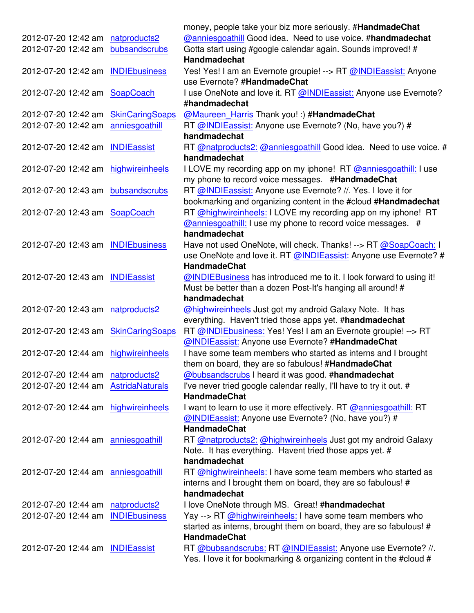|                                     |                        | money, people take your biz more seriously. #HandmadeChat                                                                                         |
|-------------------------------------|------------------------|---------------------------------------------------------------------------------------------------------------------------------------------------|
| 2012-07-20 12:42 am                 | natproducts2           | @anniesgoathill Good idea. Need to use voice. #handmadechat                                                                                       |
| 2012-07-20 12:42 am                 | bubsandscrubs          | Gotta start using #google calendar again. Sounds improved! #<br><b>Handmadechat</b>                                                               |
| 2012-07-20 12:42 am                 | <b>INDIEbusiness</b>   | Yes! Yes! I am an Evernote groupie! --> RT @INDIEassist: Anyone<br>use Evernote? #HandmadeChat                                                    |
| 2012-07-20 12:42 am                 | SoapCoach              | I use OneNote and love it. RT @INDIEassist: Anyone use Evernote?<br>#handmadechat                                                                 |
| 2012-07-20 12:42 am                 | <b>SkinCaringSoaps</b> | @Maureen_Harris Thank you! :) #HandmadeChat                                                                                                       |
| 2012-07-20 12:42 am                 | anniesgoathill         | RT @INDIEassist: Anyone use Evernote? (No, have you?) #<br>handmadechat                                                                           |
| 2012-07-20 12:42 am INDIEassist     |                        | RT @natproducts2: @anniesgoathill Good idea. Need to use voice. #<br>handmadechat                                                                 |
| 2012-07-20 12:42 am                 | highwireinheels        | I LOVE my recording app on my iphone! RT @anniesgoathill: I use<br>my phone to record voice messages. #HandmadeChat                               |
| 2012-07-20 12:43 am                 | bubsandscrubs          | RT @INDIEassist: Anyone use Evernote? //. Yes. I love it for<br>bookmarking and organizing content in the #cloud #Handmadechat                    |
| 2012-07-20 12:43 am SoapCoach       |                        | RT @highwireinheels: I LOVE my recording app on my iphone! RT<br>@anniesgoathill: I use my phone to record voice messages. #                      |
|                                     |                        | handmadechat                                                                                                                                      |
| 2012-07-20 12:43 am                 | <b>INDIEbusiness</b>   | Have not used OneNote, will check. Thanks! --> RT @SoapCoach: I                                                                                   |
|                                     |                        | use OneNote and love it. RT @INDIEassist: Anyone use Evernote? #<br><b>HandmadeChat</b>                                                           |
| 2012-07-20 12:43 am INDIEassist     |                        | @INDIEBusiness has introduced me to it. I look forward to using it!<br>Must be better than a dozen Post-It's hanging all around! #                |
|                                     |                        | handmadechat                                                                                                                                      |
| 2012-07-20 12:43 am natproducts2    |                        | @highwireinheels Just got my android Galaxy Note. It has<br>everything. Haven't tried those apps yet. #handmadechat                               |
| 2012-07-20 12:43 am                 | <b>SkinCaringSoaps</b> | RT @INDIEbusiness: Yes! Yes! I am an Evernote groupie! --> RT<br>@INDIEassist: Anyone use Evernote? #HandmadeChat                                 |
| 2012-07-20 12:44 am                 | highwireinheels        | I have some team members who started as interns and I brought<br>them on board, they are so fabulous! #HandmadeChat                               |
| 2012-07-20 12:44 am natproducts2    |                        | @bubsandscrubs I heard it was good. #handmadechat                                                                                                 |
| 2012-07-20 12:44 am AstridaNaturals |                        | I've never tried google calendar really, I'll have to try it out. #<br><b>HandmadeChat</b>                                                        |
| 2012-07-20 12:44 am                 | highwireinheels        | I want to learn to use it more effectively. RT @anniesgoathill: RT<br>@INDIEassist: Anyone use Evernote? (No, have you?) #<br><b>HandmadeChat</b> |
| 2012-07-20 12:44 am anniesgoathill  |                        | RT @natproducts2: @highwireinheels Just got my android Galaxy<br>Note. It has everything. Havent tried those apps yet. #                          |
|                                     |                        | handmadechat                                                                                                                                      |
| 2012-07-20 12:44 am anniesgoathill  |                        | RT @highwireinheels: I have some team members who started as                                                                                      |
|                                     |                        | interns and I brought them on board, they are so fabulous! #<br>handmadechat                                                                      |
| 2012-07-20 12:44 am                 | natproducts2           | I love OneNote through MS. Great! #handmadechat                                                                                                   |
| 2012-07-20 12:44 am                 | <b>INDIEbusiness</b>   | Yay --> RT @highwireinheels: I have some team members who                                                                                         |
|                                     |                        | started as interns, brought them on board, they are so fabulous! #<br><b>HandmadeChat</b>                                                         |
| 2012-07-20 12:44 am                 | <b>INDIEassist</b>     | RT @bubsandscrubs: RT @INDIEassist: Anyone use Evernote? //.<br>Yes. I love it for bookmarking & organizing content in the #cloud #               |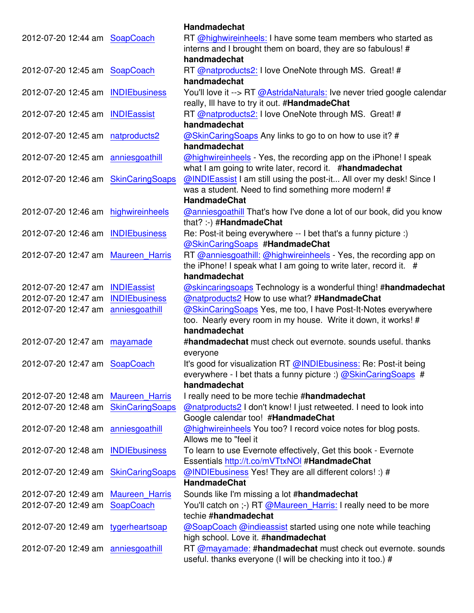| RT @highwireinheels: I have some team members who started as<br>2012-07-20 12:44 am SoapCoach<br>interns and I brought them on board, they are so fabulous! #<br>handmadechat<br>RT @natproducts2: I love OneNote through MS. Great! #<br>2012-07-20 12:45 am SoapCoach<br>handmadechat<br>You'll love it --> RT @AstridaNaturals: Ive never tried google calendar<br>2012-07-20 12:45 am<br><b>INDIEbusiness</b><br>really, Ill have to try it out. #HandmadeChat<br>RT @natproducts2: I love OneNote through MS. Great! #<br>2012-07-20 12:45 am INDIEassist<br>handmadechat<br>2012-07-20 12:45 am<br>natproducts2<br>@SkinCaringSoaps Any links to go to on how to use it? #<br>handmadechat<br>2012-07-20 12:45 am anniesgoathill<br>@highwireinheels - Yes, the recording app on the iPhone! I speak<br>what I am going to write later, record it. #handmadechat<br>@INDIEassist I am still using the post-it All over my desk! Since I<br><b>SkinCaringSoaps</b><br>2012-07-20 12:46 am<br>was a student. Need to find something more modern! #<br><b>HandmadeChat</b><br>2012-07-20 12:46 am highwireinheels<br>@anniesgoathill That's how I've done a lot of our book, did you know<br>that? :-) #HandmadeChat<br>Re: Post-it being everywhere -- I bet that's a funny picture :)<br>2012-07-20 12:46 am INDIEbusiness<br>@SkinCaringSoaps #HandmadeChat<br>RT @anniesgoathill: @highwireinheels Yes, the recording app on<br>2012-07-20 12:47 am<br><b>Maureen Harris</b><br>the iPhone! I speak what I am going to write later, record it. #<br>handmadechat<br><b>INDIEassist</b><br><b>@skincaringsoaps Technology is a wonderful thing! #handmadechat</b><br>2012-07-20 12:47 am<br>@natproducts2 How to use what? #HandmadeChat<br>2012-07-20 12:47 am<br><b>INDIEbusiness</b><br>2012-07-20 12:47 am<br>anniesgoathill<br>@SkinCaringSoaps Yes, me too, I have Post-It-Notes everywhere<br>too. Nearly every room in my house. Write it down, it works! #<br>handmadechat<br>2012-07-20 12:47 am mayamade<br>#handmadechat must check out evernote. sounds useful. thanks<br>everyone<br>2012-07-20 12:47 am SoapCoach<br>It's good for visualization RT @INDIEbusiness: Re: Post-it being<br>everywhere - I bet thats a funny picture :) $@$ SkinCaringSoaps #<br>handmadechat<br>2012-07-20 12:48 am<br><b>Maureen_Harris</b><br>I really need to be more techie #handmadechat<br><b>SkinCaringSoaps</b><br>2012-07-20 12:48 am<br>@natproducts2 I don't know! I just retweeted. I need to look into<br>Google calendar too! #HandmadeChat<br>@highwireinheels You too? I record voice notes for blog posts.<br>2012-07-20 12:48 am<br>anniesgoathill<br>Allows me to "feel it<br>To learn to use Evernote effectively, Get this book - Evernote<br>2012-07-20 12:48 am<br><b>INDIEbusiness</b><br>Essentials http://t.co/mVTtxNOI #HandmadeChat<br>@INDIEbusiness Yes! They are all different colors! :) #<br>2012-07-20 12:49 am<br><b>SkinCaringSoaps</b><br><b>HandmadeChat</b><br>2012-07-20 12:49 am<br><b>Maureen_Harris</b><br>Sounds like I'm missing a lot #handmadechat<br>2012-07-20 12:49 am<br>You'll catch on ;-) RT @Maureen_Harris: I really need to be more<br>SoapCoach<br>techie #handmadechat<br>@SoapCoach @indieassist started using one note while teaching<br>2012-07-20 12:49 am tygerheartsoap<br>high school. Love it. #handmadechat<br>RT @mayamade: #handmadechat must check out evernote. sounds<br>2012-07-20 12:49 am anniesgoathill |  | <b>Handmadechat</b>                                         |
|-----------------------------------------------------------------------------------------------------------------------------------------------------------------------------------------------------------------------------------------------------------------------------------------------------------------------------------------------------------------------------------------------------------------------------------------------------------------------------------------------------------------------------------------------------------------------------------------------------------------------------------------------------------------------------------------------------------------------------------------------------------------------------------------------------------------------------------------------------------------------------------------------------------------------------------------------------------------------------------------------------------------------------------------------------------------------------------------------------------------------------------------------------------------------------------------------------------------------------------------------------------------------------------------------------------------------------------------------------------------------------------------------------------------------------------------------------------------------------------------------------------------------------------------------------------------------------------------------------------------------------------------------------------------------------------------------------------------------------------------------------------------------------------------------------------------------------------------------------------------------------------------------------------------------------------------------------------------------------------------------------------------------------------------------------------------------------------------------------------------------------------------------------------------------------------------------------------------------------------------------------------------------------------------------------------------------------------------------------------------------------------------------------------------------------------------------------------------------------------------------------------------------------------------------------------------------------------------------------------------------------------------------------------------------------------------------------------------------------------------------------------------------------------------------------------------------------------------------------------------------------------------------------------------------------------------------------------------------------------------------------------------------------------------------------------------------------------------------------------------------------------------------------------------------------------------------------------------------------------------------------------------------------------------------------------------------------------------------------------------------------------------------------------------------------------------------------------------------------------------|--|-------------------------------------------------------------|
|                                                                                                                                                                                                                                                                                                                                                                                                                                                                                                                                                                                                                                                                                                                                                                                                                                                                                                                                                                                                                                                                                                                                                                                                                                                                                                                                                                                                                                                                                                                                                                                                                                                                                                                                                                                                                                                                                                                                                                                                                                                                                                                                                                                                                                                                                                                                                                                                                                                                                                                                                                                                                                                                                                                                                                                                                                                                                                                                                                                                                                                                                                                                                                                                                                                                                                                                                                                                                                                                                         |  |                                                             |
|                                                                                                                                                                                                                                                                                                                                                                                                                                                                                                                                                                                                                                                                                                                                                                                                                                                                                                                                                                                                                                                                                                                                                                                                                                                                                                                                                                                                                                                                                                                                                                                                                                                                                                                                                                                                                                                                                                                                                                                                                                                                                                                                                                                                                                                                                                                                                                                                                                                                                                                                                                                                                                                                                                                                                                                                                                                                                                                                                                                                                                                                                                                                                                                                                                                                                                                                                                                                                                                                                         |  |                                                             |
|                                                                                                                                                                                                                                                                                                                                                                                                                                                                                                                                                                                                                                                                                                                                                                                                                                                                                                                                                                                                                                                                                                                                                                                                                                                                                                                                                                                                                                                                                                                                                                                                                                                                                                                                                                                                                                                                                                                                                                                                                                                                                                                                                                                                                                                                                                                                                                                                                                                                                                                                                                                                                                                                                                                                                                                                                                                                                                                                                                                                                                                                                                                                                                                                                                                                                                                                                                                                                                                                                         |  |                                                             |
|                                                                                                                                                                                                                                                                                                                                                                                                                                                                                                                                                                                                                                                                                                                                                                                                                                                                                                                                                                                                                                                                                                                                                                                                                                                                                                                                                                                                                                                                                                                                                                                                                                                                                                                                                                                                                                                                                                                                                                                                                                                                                                                                                                                                                                                                                                                                                                                                                                                                                                                                                                                                                                                                                                                                                                                                                                                                                                                                                                                                                                                                                                                                                                                                                                                                                                                                                                                                                                                                                         |  |                                                             |
|                                                                                                                                                                                                                                                                                                                                                                                                                                                                                                                                                                                                                                                                                                                                                                                                                                                                                                                                                                                                                                                                                                                                                                                                                                                                                                                                                                                                                                                                                                                                                                                                                                                                                                                                                                                                                                                                                                                                                                                                                                                                                                                                                                                                                                                                                                                                                                                                                                                                                                                                                                                                                                                                                                                                                                                                                                                                                                                                                                                                                                                                                                                                                                                                                                                                                                                                                                                                                                                                                         |  |                                                             |
|                                                                                                                                                                                                                                                                                                                                                                                                                                                                                                                                                                                                                                                                                                                                                                                                                                                                                                                                                                                                                                                                                                                                                                                                                                                                                                                                                                                                                                                                                                                                                                                                                                                                                                                                                                                                                                                                                                                                                                                                                                                                                                                                                                                                                                                                                                                                                                                                                                                                                                                                                                                                                                                                                                                                                                                                                                                                                                                                                                                                                                                                                                                                                                                                                                                                                                                                                                                                                                                                                         |  |                                                             |
|                                                                                                                                                                                                                                                                                                                                                                                                                                                                                                                                                                                                                                                                                                                                                                                                                                                                                                                                                                                                                                                                                                                                                                                                                                                                                                                                                                                                                                                                                                                                                                                                                                                                                                                                                                                                                                                                                                                                                                                                                                                                                                                                                                                                                                                                                                                                                                                                                                                                                                                                                                                                                                                                                                                                                                                                                                                                                                                                                                                                                                                                                                                                                                                                                                                                                                                                                                                                                                                                                         |  |                                                             |
|                                                                                                                                                                                                                                                                                                                                                                                                                                                                                                                                                                                                                                                                                                                                                                                                                                                                                                                                                                                                                                                                                                                                                                                                                                                                                                                                                                                                                                                                                                                                                                                                                                                                                                                                                                                                                                                                                                                                                                                                                                                                                                                                                                                                                                                                                                                                                                                                                                                                                                                                                                                                                                                                                                                                                                                                                                                                                                                                                                                                                                                                                                                                                                                                                                                                                                                                                                                                                                                                                         |  |                                                             |
|                                                                                                                                                                                                                                                                                                                                                                                                                                                                                                                                                                                                                                                                                                                                                                                                                                                                                                                                                                                                                                                                                                                                                                                                                                                                                                                                                                                                                                                                                                                                                                                                                                                                                                                                                                                                                                                                                                                                                                                                                                                                                                                                                                                                                                                                                                                                                                                                                                                                                                                                                                                                                                                                                                                                                                                                                                                                                                                                                                                                                                                                                                                                                                                                                                                                                                                                                                                                                                                                                         |  |                                                             |
|                                                                                                                                                                                                                                                                                                                                                                                                                                                                                                                                                                                                                                                                                                                                                                                                                                                                                                                                                                                                                                                                                                                                                                                                                                                                                                                                                                                                                                                                                                                                                                                                                                                                                                                                                                                                                                                                                                                                                                                                                                                                                                                                                                                                                                                                                                                                                                                                                                                                                                                                                                                                                                                                                                                                                                                                                                                                                                                                                                                                                                                                                                                                                                                                                                                                                                                                                                                                                                                                                         |  |                                                             |
|                                                                                                                                                                                                                                                                                                                                                                                                                                                                                                                                                                                                                                                                                                                                                                                                                                                                                                                                                                                                                                                                                                                                                                                                                                                                                                                                                                                                                                                                                                                                                                                                                                                                                                                                                                                                                                                                                                                                                                                                                                                                                                                                                                                                                                                                                                                                                                                                                                                                                                                                                                                                                                                                                                                                                                                                                                                                                                                                                                                                                                                                                                                                                                                                                                                                                                                                                                                                                                                                                         |  |                                                             |
|                                                                                                                                                                                                                                                                                                                                                                                                                                                                                                                                                                                                                                                                                                                                                                                                                                                                                                                                                                                                                                                                                                                                                                                                                                                                                                                                                                                                                                                                                                                                                                                                                                                                                                                                                                                                                                                                                                                                                                                                                                                                                                                                                                                                                                                                                                                                                                                                                                                                                                                                                                                                                                                                                                                                                                                                                                                                                                                                                                                                                                                                                                                                                                                                                                                                                                                                                                                                                                                                                         |  |                                                             |
|                                                                                                                                                                                                                                                                                                                                                                                                                                                                                                                                                                                                                                                                                                                                                                                                                                                                                                                                                                                                                                                                                                                                                                                                                                                                                                                                                                                                                                                                                                                                                                                                                                                                                                                                                                                                                                                                                                                                                                                                                                                                                                                                                                                                                                                                                                                                                                                                                                                                                                                                                                                                                                                                                                                                                                                                                                                                                                                                                                                                                                                                                                                                                                                                                                                                                                                                                                                                                                                                                         |  |                                                             |
|                                                                                                                                                                                                                                                                                                                                                                                                                                                                                                                                                                                                                                                                                                                                                                                                                                                                                                                                                                                                                                                                                                                                                                                                                                                                                                                                                                                                                                                                                                                                                                                                                                                                                                                                                                                                                                                                                                                                                                                                                                                                                                                                                                                                                                                                                                                                                                                                                                                                                                                                                                                                                                                                                                                                                                                                                                                                                                                                                                                                                                                                                                                                                                                                                                                                                                                                                                                                                                                                                         |  |                                                             |
|                                                                                                                                                                                                                                                                                                                                                                                                                                                                                                                                                                                                                                                                                                                                                                                                                                                                                                                                                                                                                                                                                                                                                                                                                                                                                                                                                                                                                                                                                                                                                                                                                                                                                                                                                                                                                                                                                                                                                                                                                                                                                                                                                                                                                                                                                                                                                                                                                                                                                                                                                                                                                                                                                                                                                                                                                                                                                                                                                                                                                                                                                                                                                                                                                                                                                                                                                                                                                                                                                         |  |                                                             |
|                                                                                                                                                                                                                                                                                                                                                                                                                                                                                                                                                                                                                                                                                                                                                                                                                                                                                                                                                                                                                                                                                                                                                                                                                                                                                                                                                                                                                                                                                                                                                                                                                                                                                                                                                                                                                                                                                                                                                                                                                                                                                                                                                                                                                                                                                                                                                                                                                                                                                                                                                                                                                                                                                                                                                                                                                                                                                                                                                                                                                                                                                                                                                                                                                                                                                                                                                                                                                                                                                         |  |                                                             |
|                                                                                                                                                                                                                                                                                                                                                                                                                                                                                                                                                                                                                                                                                                                                                                                                                                                                                                                                                                                                                                                                                                                                                                                                                                                                                                                                                                                                                                                                                                                                                                                                                                                                                                                                                                                                                                                                                                                                                                                                                                                                                                                                                                                                                                                                                                                                                                                                                                                                                                                                                                                                                                                                                                                                                                                                                                                                                                                                                                                                                                                                                                                                                                                                                                                                                                                                                                                                                                                                                         |  |                                                             |
|                                                                                                                                                                                                                                                                                                                                                                                                                                                                                                                                                                                                                                                                                                                                                                                                                                                                                                                                                                                                                                                                                                                                                                                                                                                                                                                                                                                                                                                                                                                                                                                                                                                                                                                                                                                                                                                                                                                                                                                                                                                                                                                                                                                                                                                                                                                                                                                                                                                                                                                                                                                                                                                                                                                                                                                                                                                                                                                                                                                                                                                                                                                                                                                                                                                                                                                                                                                                                                                                                         |  |                                                             |
|                                                                                                                                                                                                                                                                                                                                                                                                                                                                                                                                                                                                                                                                                                                                                                                                                                                                                                                                                                                                                                                                                                                                                                                                                                                                                                                                                                                                                                                                                                                                                                                                                                                                                                                                                                                                                                                                                                                                                                                                                                                                                                                                                                                                                                                                                                                                                                                                                                                                                                                                                                                                                                                                                                                                                                                                                                                                                                                                                                                                                                                                                                                                                                                                                                                                                                                                                                                                                                                                                         |  |                                                             |
|                                                                                                                                                                                                                                                                                                                                                                                                                                                                                                                                                                                                                                                                                                                                                                                                                                                                                                                                                                                                                                                                                                                                                                                                                                                                                                                                                                                                                                                                                                                                                                                                                                                                                                                                                                                                                                                                                                                                                                                                                                                                                                                                                                                                                                                                                                                                                                                                                                                                                                                                                                                                                                                                                                                                                                                                                                                                                                                                                                                                                                                                                                                                                                                                                                                                                                                                                                                                                                                                                         |  |                                                             |
|                                                                                                                                                                                                                                                                                                                                                                                                                                                                                                                                                                                                                                                                                                                                                                                                                                                                                                                                                                                                                                                                                                                                                                                                                                                                                                                                                                                                                                                                                                                                                                                                                                                                                                                                                                                                                                                                                                                                                                                                                                                                                                                                                                                                                                                                                                                                                                                                                                                                                                                                                                                                                                                                                                                                                                                                                                                                                                                                                                                                                                                                                                                                                                                                                                                                                                                                                                                                                                                                                         |  |                                                             |
|                                                                                                                                                                                                                                                                                                                                                                                                                                                                                                                                                                                                                                                                                                                                                                                                                                                                                                                                                                                                                                                                                                                                                                                                                                                                                                                                                                                                                                                                                                                                                                                                                                                                                                                                                                                                                                                                                                                                                                                                                                                                                                                                                                                                                                                                                                                                                                                                                                                                                                                                                                                                                                                                                                                                                                                                                                                                                                                                                                                                                                                                                                                                                                                                                                                                                                                                                                                                                                                                                         |  |                                                             |
|                                                                                                                                                                                                                                                                                                                                                                                                                                                                                                                                                                                                                                                                                                                                                                                                                                                                                                                                                                                                                                                                                                                                                                                                                                                                                                                                                                                                                                                                                                                                                                                                                                                                                                                                                                                                                                                                                                                                                                                                                                                                                                                                                                                                                                                                                                                                                                                                                                                                                                                                                                                                                                                                                                                                                                                                                                                                                                                                                                                                                                                                                                                                                                                                                                                                                                                                                                                                                                                                                         |  |                                                             |
|                                                                                                                                                                                                                                                                                                                                                                                                                                                                                                                                                                                                                                                                                                                                                                                                                                                                                                                                                                                                                                                                                                                                                                                                                                                                                                                                                                                                                                                                                                                                                                                                                                                                                                                                                                                                                                                                                                                                                                                                                                                                                                                                                                                                                                                                                                                                                                                                                                                                                                                                                                                                                                                                                                                                                                                                                                                                                                                                                                                                                                                                                                                                                                                                                                                                                                                                                                                                                                                                                         |  |                                                             |
|                                                                                                                                                                                                                                                                                                                                                                                                                                                                                                                                                                                                                                                                                                                                                                                                                                                                                                                                                                                                                                                                                                                                                                                                                                                                                                                                                                                                                                                                                                                                                                                                                                                                                                                                                                                                                                                                                                                                                                                                                                                                                                                                                                                                                                                                                                                                                                                                                                                                                                                                                                                                                                                                                                                                                                                                                                                                                                                                                                                                                                                                                                                                                                                                                                                                                                                                                                                                                                                                                         |  |                                                             |
|                                                                                                                                                                                                                                                                                                                                                                                                                                                                                                                                                                                                                                                                                                                                                                                                                                                                                                                                                                                                                                                                                                                                                                                                                                                                                                                                                                                                                                                                                                                                                                                                                                                                                                                                                                                                                                                                                                                                                                                                                                                                                                                                                                                                                                                                                                                                                                                                                                                                                                                                                                                                                                                                                                                                                                                                                                                                                                                                                                                                                                                                                                                                                                                                                                                                                                                                                                                                                                                                                         |  |                                                             |
|                                                                                                                                                                                                                                                                                                                                                                                                                                                                                                                                                                                                                                                                                                                                                                                                                                                                                                                                                                                                                                                                                                                                                                                                                                                                                                                                                                                                                                                                                                                                                                                                                                                                                                                                                                                                                                                                                                                                                                                                                                                                                                                                                                                                                                                                                                                                                                                                                                                                                                                                                                                                                                                                                                                                                                                                                                                                                                                                                                                                                                                                                                                                                                                                                                                                                                                                                                                                                                                                                         |  |                                                             |
|                                                                                                                                                                                                                                                                                                                                                                                                                                                                                                                                                                                                                                                                                                                                                                                                                                                                                                                                                                                                                                                                                                                                                                                                                                                                                                                                                                                                                                                                                                                                                                                                                                                                                                                                                                                                                                                                                                                                                                                                                                                                                                                                                                                                                                                                                                                                                                                                                                                                                                                                                                                                                                                                                                                                                                                                                                                                                                                                                                                                                                                                                                                                                                                                                                                                                                                                                                                                                                                                                         |  |                                                             |
|                                                                                                                                                                                                                                                                                                                                                                                                                                                                                                                                                                                                                                                                                                                                                                                                                                                                                                                                                                                                                                                                                                                                                                                                                                                                                                                                                                                                                                                                                                                                                                                                                                                                                                                                                                                                                                                                                                                                                                                                                                                                                                                                                                                                                                                                                                                                                                                                                                                                                                                                                                                                                                                                                                                                                                                                                                                                                                                                                                                                                                                                                                                                                                                                                                                                                                                                                                                                                                                                                         |  |                                                             |
|                                                                                                                                                                                                                                                                                                                                                                                                                                                                                                                                                                                                                                                                                                                                                                                                                                                                                                                                                                                                                                                                                                                                                                                                                                                                                                                                                                                                                                                                                                                                                                                                                                                                                                                                                                                                                                                                                                                                                                                                                                                                                                                                                                                                                                                                                                                                                                                                                                                                                                                                                                                                                                                                                                                                                                                                                                                                                                                                                                                                                                                                                                                                                                                                                                                                                                                                                                                                                                                                                         |  |                                                             |
|                                                                                                                                                                                                                                                                                                                                                                                                                                                                                                                                                                                                                                                                                                                                                                                                                                                                                                                                                                                                                                                                                                                                                                                                                                                                                                                                                                                                                                                                                                                                                                                                                                                                                                                                                                                                                                                                                                                                                                                                                                                                                                                                                                                                                                                                                                                                                                                                                                                                                                                                                                                                                                                                                                                                                                                                                                                                                                                                                                                                                                                                                                                                                                                                                                                                                                                                                                                                                                                                                         |  |                                                             |
|                                                                                                                                                                                                                                                                                                                                                                                                                                                                                                                                                                                                                                                                                                                                                                                                                                                                                                                                                                                                                                                                                                                                                                                                                                                                                                                                                                                                                                                                                                                                                                                                                                                                                                                                                                                                                                                                                                                                                                                                                                                                                                                                                                                                                                                                                                                                                                                                                                                                                                                                                                                                                                                                                                                                                                                                                                                                                                                                                                                                                                                                                                                                                                                                                                                                                                                                                                                                                                                                                         |  |                                                             |
|                                                                                                                                                                                                                                                                                                                                                                                                                                                                                                                                                                                                                                                                                                                                                                                                                                                                                                                                                                                                                                                                                                                                                                                                                                                                                                                                                                                                                                                                                                                                                                                                                                                                                                                                                                                                                                                                                                                                                                                                                                                                                                                                                                                                                                                                                                                                                                                                                                                                                                                                                                                                                                                                                                                                                                                                                                                                                                                                                                                                                                                                                                                                                                                                                                                                                                                                                                                                                                                                                         |  |                                                             |
|                                                                                                                                                                                                                                                                                                                                                                                                                                                                                                                                                                                                                                                                                                                                                                                                                                                                                                                                                                                                                                                                                                                                                                                                                                                                                                                                                                                                                                                                                                                                                                                                                                                                                                                                                                                                                                                                                                                                                                                                                                                                                                                                                                                                                                                                                                                                                                                                                                                                                                                                                                                                                                                                                                                                                                                                                                                                                                                                                                                                                                                                                                                                                                                                                                                                                                                                                                                                                                                                                         |  |                                                             |
|                                                                                                                                                                                                                                                                                                                                                                                                                                                                                                                                                                                                                                                                                                                                                                                                                                                                                                                                                                                                                                                                                                                                                                                                                                                                                                                                                                                                                                                                                                                                                                                                                                                                                                                                                                                                                                                                                                                                                                                                                                                                                                                                                                                                                                                                                                                                                                                                                                                                                                                                                                                                                                                                                                                                                                                                                                                                                                                                                                                                                                                                                                                                                                                                                                                                                                                                                                                                                                                                                         |  |                                                             |
|                                                                                                                                                                                                                                                                                                                                                                                                                                                                                                                                                                                                                                                                                                                                                                                                                                                                                                                                                                                                                                                                                                                                                                                                                                                                                                                                                                                                                                                                                                                                                                                                                                                                                                                                                                                                                                                                                                                                                                                                                                                                                                                                                                                                                                                                                                                                                                                                                                                                                                                                                                                                                                                                                                                                                                                                                                                                                                                                                                                                                                                                                                                                                                                                                                                                                                                                                                                                                                                                                         |  |                                                             |
|                                                                                                                                                                                                                                                                                                                                                                                                                                                                                                                                                                                                                                                                                                                                                                                                                                                                                                                                                                                                                                                                                                                                                                                                                                                                                                                                                                                                                                                                                                                                                                                                                                                                                                                                                                                                                                                                                                                                                                                                                                                                                                                                                                                                                                                                                                                                                                                                                                                                                                                                                                                                                                                                                                                                                                                                                                                                                                                                                                                                                                                                                                                                                                                                                                                                                                                                                                                                                                                                                         |  |                                                             |
|                                                                                                                                                                                                                                                                                                                                                                                                                                                                                                                                                                                                                                                                                                                                                                                                                                                                                                                                                                                                                                                                                                                                                                                                                                                                                                                                                                                                                                                                                                                                                                                                                                                                                                                                                                                                                                                                                                                                                                                                                                                                                                                                                                                                                                                                                                                                                                                                                                                                                                                                                                                                                                                                                                                                                                                                                                                                                                                                                                                                                                                                                                                                                                                                                                                                                                                                                                                                                                                                                         |  |                                                             |
|                                                                                                                                                                                                                                                                                                                                                                                                                                                                                                                                                                                                                                                                                                                                                                                                                                                                                                                                                                                                                                                                                                                                                                                                                                                                                                                                                                                                                                                                                                                                                                                                                                                                                                                                                                                                                                                                                                                                                                                                                                                                                                                                                                                                                                                                                                                                                                                                                                                                                                                                                                                                                                                                                                                                                                                                                                                                                                                                                                                                                                                                                                                                                                                                                                                                                                                                                                                                                                                                                         |  |                                                             |
|                                                                                                                                                                                                                                                                                                                                                                                                                                                                                                                                                                                                                                                                                                                                                                                                                                                                                                                                                                                                                                                                                                                                                                                                                                                                                                                                                                                                                                                                                                                                                                                                                                                                                                                                                                                                                                                                                                                                                                                                                                                                                                                                                                                                                                                                                                                                                                                                                                                                                                                                                                                                                                                                                                                                                                                                                                                                                                                                                                                                                                                                                                                                                                                                                                                                                                                                                                                                                                                                                         |  |                                                             |
|                                                                                                                                                                                                                                                                                                                                                                                                                                                                                                                                                                                                                                                                                                                                                                                                                                                                                                                                                                                                                                                                                                                                                                                                                                                                                                                                                                                                                                                                                                                                                                                                                                                                                                                                                                                                                                                                                                                                                                                                                                                                                                                                                                                                                                                                                                                                                                                                                                                                                                                                                                                                                                                                                                                                                                                                                                                                                                                                                                                                                                                                                                                                                                                                                                                                                                                                                                                                                                                                                         |  |                                                             |
|                                                                                                                                                                                                                                                                                                                                                                                                                                                                                                                                                                                                                                                                                                                                                                                                                                                                                                                                                                                                                                                                                                                                                                                                                                                                                                                                                                                                                                                                                                                                                                                                                                                                                                                                                                                                                                                                                                                                                                                                                                                                                                                                                                                                                                                                                                                                                                                                                                                                                                                                                                                                                                                                                                                                                                                                                                                                                                                                                                                                                                                                                                                                                                                                                                                                                                                                                                                                                                                                                         |  |                                                             |
|                                                                                                                                                                                                                                                                                                                                                                                                                                                                                                                                                                                                                                                                                                                                                                                                                                                                                                                                                                                                                                                                                                                                                                                                                                                                                                                                                                                                                                                                                                                                                                                                                                                                                                                                                                                                                                                                                                                                                                                                                                                                                                                                                                                                                                                                                                                                                                                                                                                                                                                                                                                                                                                                                                                                                                                                                                                                                                                                                                                                                                                                                                                                                                                                                                                                                                                                                                                                                                                                                         |  |                                                             |
|                                                                                                                                                                                                                                                                                                                                                                                                                                                                                                                                                                                                                                                                                                                                                                                                                                                                                                                                                                                                                                                                                                                                                                                                                                                                                                                                                                                                                                                                                                                                                                                                                                                                                                                                                                                                                                                                                                                                                                                                                                                                                                                                                                                                                                                                                                                                                                                                                                                                                                                                                                                                                                                                                                                                                                                                                                                                                                                                                                                                                                                                                                                                                                                                                                                                                                                                                                                                                                                                                         |  |                                                             |
|                                                                                                                                                                                                                                                                                                                                                                                                                                                                                                                                                                                                                                                                                                                                                                                                                                                                                                                                                                                                                                                                                                                                                                                                                                                                                                                                                                                                                                                                                                                                                                                                                                                                                                                                                                                                                                                                                                                                                                                                                                                                                                                                                                                                                                                                                                                                                                                                                                                                                                                                                                                                                                                                                                                                                                                                                                                                                                                                                                                                                                                                                                                                                                                                                                                                                                                                                                                                                                                                                         |  |                                                             |
|                                                                                                                                                                                                                                                                                                                                                                                                                                                                                                                                                                                                                                                                                                                                                                                                                                                                                                                                                                                                                                                                                                                                                                                                                                                                                                                                                                                                                                                                                                                                                                                                                                                                                                                                                                                                                                                                                                                                                                                                                                                                                                                                                                                                                                                                                                                                                                                                                                                                                                                                                                                                                                                                                                                                                                                                                                                                                                                                                                                                                                                                                                                                                                                                                                                                                                                                                                                                                                                                                         |  |                                                             |
|                                                                                                                                                                                                                                                                                                                                                                                                                                                                                                                                                                                                                                                                                                                                                                                                                                                                                                                                                                                                                                                                                                                                                                                                                                                                                                                                                                                                                                                                                                                                                                                                                                                                                                                                                                                                                                                                                                                                                                                                                                                                                                                                                                                                                                                                                                                                                                                                                                                                                                                                                                                                                                                                                                                                                                                                                                                                                                                                                                                                                                                                                                                                                                                                                                                                                                                                                                                                                                                                                         |  |                                                             |
|                                                                                                                                                                                                                                                                                                                                                                                                                                                                                                                                                                                                                                                                                                                                                                                                                                                                                                                                                                                                                                                                                                                                                                                                                                                                                                                                                                                                                                                                                                                                                                                                                                                                                                                                                                                                                                                                                                                                                                                                                                                                                                                                                                                                                                                                                                                                                                                                                                                                                                                                                                                                                                                                                                                                                                                                                                                                                                                                                                                                                                                                                                                                                                                                                                                                                                                                                                                                                                                                                         |  |                                                             |
|                                                                                                                                                                                                                                                                                                                                                                                                                                                                                                                                                                                                                                                                                                                                                                                                                                                                                                                                                                                                                                                                                                                                                                                                                                                                                                                                                                                                                                                                                                                                                                                                                                                                                                                                                                                                                                                                                                                                                                                                                                                                                                                                                                                                                                                                                                                                                                                                                                                                                                                                                                                                                                                                                                                                                                                                                                                                                                                                                                                                                                                                                                                                                                                                                                                                                                                                                                                                                                                                                         |  |                                                             |
|                                                                                                                                                                                                                                                                                                                                                                                                                                                                                                                                                                                                                                                                                                                                                                                                                                                                                                                                                                                                                                                                                                                                                                                                                                                                                                                                                                                                                                                                                                                                                                                                                                                                                                                                                                                                                                                                                                                                                                                                                                                                                                                                                                                                                                                                                                                                                                                                                                                                                                                                                                                                                                                                                                                                                                                                                                                                                                                                                                                                                                                                                                                                                                                                                                                                                                                                                                                                                                                                                         |  | useful. thanks everyone (I will be checking into it too.) # |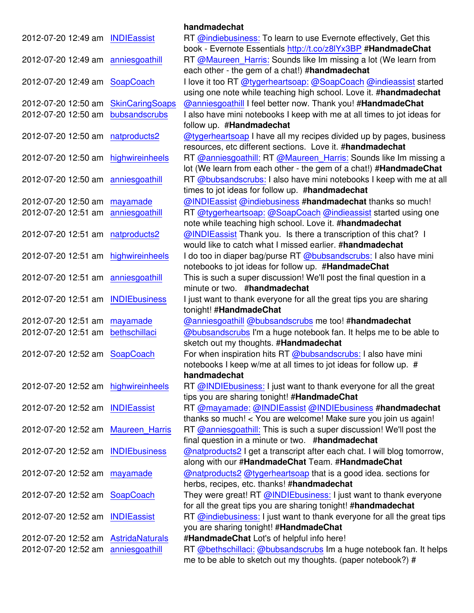|                                   |                        | handmadechat                                                                                   |
|-----------------------------------|------------------------|------------------------------------------------------------------------------------------------|
| 2012-07-20 12:49 am INDIEassist   |                        | RT @indiebusiness: To learn to use Evernote effectively, Get this                              |
|                                   |                        | book - Evernote Essentials http://t.co/z8IYx3BP #HandmadeChat                                  |
| 2012-07-20 12:49 am               | anniesgoathill         | RT @Maureen_Harris: Sounds like Im missing a lot (We learn from                                |
|                                   |                        | each other - the gem of a chat!) #handmadechat                                                 |
| 2012-07-20 12:49 am               | SoapCoach              | I love it too RT @tygerheartsoap: @SoapCoach @indieassist started                              |
|                                   |                        | using one note while teaching high school. Love it. #handmadechat                              |
| 2012-07-20 12:50 am               | <b>SkinCaringSoaps</b> | @anniesgoathill I feel better now. Thank you! #HandmadeChat                                    |
| 2012-07-20 12:50 am               | bubsandscrubs          | I also have mini notebooks I keep with me at all times to jot ideas for                        |
|                                   |                        | follow up. #Handmadechat                                                                       |
| 2012-07-20 12:50 am               | natproducts2           | @tygerheartsoap I have all my recipes divided up by pages, business                            |
|                                   |                        | resources, etc different sections. Love it. #handmadechat                                      |
| 2012-07-20 12:50 am               | highwireinheels        | RT @anniesgoathill: RT @Maureen_Harris: Sounds like Im missing a                               |
|                                   |                        | lot (We learn from each other - the gem of a chat!) #HandmadeChat                              |
| 2012-07-20 12:50 am               | anniesgoathill         | RT @bubsandscrubs: I also have mini notebooks I keep with me at all                            |
|                                   |                        | times to jot ideas for follow up. #handmadechat                                                |
| 2012-07-20 12:50 am               | mayamade               | @INDIEassist @indiebusiness #handmadechat thanks so much!                                      |
| 2012-07-20 12:51 am               | anniesgoathill         | RT @tygerheartsoap: @SoapCoach @indieassist started using one                                  |
|                                   |                        | note while teaching high school. Love it. #handmadechat                                        |
| 2012-07-20 12:51 am               | natproducts2           | @INDIEassist Thank you. Is there a transcription of this chat? I                               |
|                                   |                        | would like to catch what I missed earlier, #handmadechat                                       |
| 2012-07-20 12:51 am               | highwireinheels        | I do too in diaper bag/purse RT @bubsandscrubs: I also have mini                               |
|                                   |                        | notebooks to jot ideas for follow up. #HandmadeChat                                            |
| 2012-07-20 12:51 am               | anniesgoathill         | This is such a super discussion! We'll post the final question in a                            |
|                                   |                        | minute or two. #handmadechat                                                                   |
| 2012-07-20 12:51 am               | <b>INDIEbusiness</b>   | I just want to thank everyone for all the great tips you are sharing<br>tonight! #HandmadeChat |
| 2012-07-20 12:51 am               | mayamade               | <b>@anniesgoathill @bubsandscrubs me too! #handmadechat</b>                                    |
| 2012-07-20 12:51 am               | bethschillaci          | @bubsandscrubs I'm a huge notebook fan. It helps me to be able to                              |
|                                   |                        | sketch out my thoughts. #Handmadechat                                                          |
| 2012-07-20 12:52 am               | SoapCoach              | For when inspiration hits RT @bubsandscrubs: I also have mini                                  |
|                                   |                        | notebooks I keep w/me at all times to jot ideas for follow up. #                               |
|                                   |                        | handmadechat                                                                                   |
| 2012-07-20 12:52 am               | highwireinheels        | RT @INDIEbusiness: I just want to thank everyone for all the great                             |
|                                   |                        | tips you are sharing tonight! #HandmadeChat                                                    |
| 2012-07-20 12:52 am               | <b>INDIEassist</b>     | RT @mayamade: @INDIEassist @INDIEbusiness #handmadechat                                        |
|                                   |                        | thanks so much! < You are welcome! Make sure you join us again!                                |
| 2012-07-20 12:52 am               | <b>Maureen Harris</b>  | RT @anniesgoathill: This is such a super discussion! We'll post the                            |
|                                   |                        | final question in a minute or two. #handmadechat                                               |
| 2012-07-20 12:52 am INDIEbusiness |                        | @natproducts2 I get a transcript after each chat. I will blog tomorrow,                        |
|                                   |                        | along with our #HandmadeChat Team. #HandmadeChat                                               |
| 2012-07-20 12:52 am               | mayamade               | @natproducts2 @tygerheartsoap that is a good idea. sections for                                |
|                                   |                        | herbs, recipes, etc. thanks! #handmadechat                                                     |
| 2012-07-20 12:52 am               | SoapCoach              | They were great! RT @INDIEbusiness: I just want to thank everyone                              |
|                                   |                        | for all the great tips you are sharing tonight! #handmadechat                                  |
| 2012-07-20 12:52 am INDIEassist   |                        | RT @indiebusiness: I just want to thank everyone for all the great tips                        |
|                                   |                        | you are sharing tonight! #HandmadeChat                                                         |
| 2012-07-20 12:52 am               | <b>AstridaNaturals</b> | #HandmadeChat Lot's of helpful info here!                                                      |
| 2012-07-20 12:52 am               | anniesgoathill         | RT @bethschillaci: @bubsandscrubs Im a huge notebook fan. It helps                             |
|                                   |                        | me to be able to sketch out my thoughts. (paper notebook?) #                                   |
|                                   |                        |                                                                                                |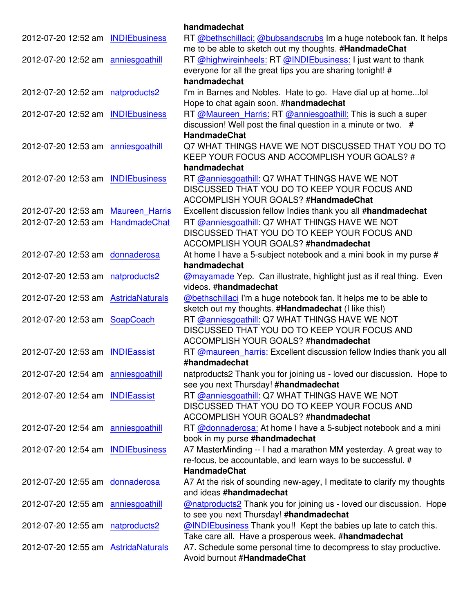|                                      |                       | handmadechat                                                                                                  |
|--------------------------------------|-----------------------|---------------------------------------------------------------------------------------------------------------|
| 2012-07-20 12:52 am INDIEbusiness    |                       | RT @bethschillaci: @bubsandscrubs Im a huge notebook fan. It helps                                            |
|                                      |                       | me to be able to sketch out my thoughts. #HandmadeChat                                                        |
| 2012-07-20 12:52 am anniesgoathill   |                       | RT @highwireinheels: RT @INDIEbusiness: I just want to thank                                                  |
|                                      |                       | everyone for all the great tips you are sharing tonight! #<br>handmadechat                                    |
| 2012-07-20 12:52 am natproducts2     |                       | I'm in Barnes and Nobles. Hate to go. Have dial up at home lol                                                |
|                                      |                       | Hope to chat again soon. #handmadechat                                                                        |
| 2012-07-20 12:52 am                  | <b>INDIEbusiness</b>  | RT @Maureen_Harris: RT @anniesgoathill: This is such a super                                                  |
|                                      |                       | discussion! Well post the final question in a minute or two. #                                                |
|                                      |                       | <b>HandmadeChat</b>                                                                                           |
| 2012-07-20 12:53 am anniesgoathill   |                       | Q7 WHAT THINGS HAVE WE NOT DISCUSSED THAT YOU DO TO                                                           |
|                                      |                       | KEEP YOUR FOCUS AND ACCOMPLISH YOUR GOALS? #                                                                  |
|                                      |                       | handmadechat                                                                                                  |
| 2012-07-20 12:53 am                  | <b>INDIEbusiness</b>  | RT @anniesgoathill: Q7 WHAT THINGS HAVE WE NOT                                                                |
|                                      |                       | DISCUSSED THAT YOU DO TO KEEP YOUR FOCUS AND                                                                  |
|                                      |                       | ACCOMPLISH YOUR GOALS? #HandmadeChat                                                                          |
| 2012-07-20 12:53 am                  | <b>Maureen Harris</b> | Excellent discussion fellow Indies thank you all #handmadechat                                                |
| 2012-07-20 12:53 am                  | HandmadeChat          | RT @anniesgoathill: Q7 WHAT THINGS HAVE WE NOT                                                                |
|                                      |                       | DISCUSSED THAT YOU DO TO KEEP YOUR FOCUS AND<br>ACCOMPLISH YOUR GOALS? #handmadechat                          |
|                                      |                       | At home I have a 5-subject notebook and a mini book in my purse #                                             |
| 2012-07-20 12:53 am donnaderosa      |                       | handmadechat                                                                                                  |
| 2012-07-20 12:53 am natproducts2     |                       | <b>@mayamade Yep.</b> Can illustrate, highlight just as if real thing. Even                                   |
|                                      |                       | videos. #handmadechat                                                                                         |
| 2012-07-20 12:53 am Astrida Naturals |                       | @bethschillaci I'm a huge notebook fan. It helps me to be able to                                             |
|                                      |                       | sketch out my thoughts. #Handmadechat (I like this!)                                                          |
| 2012-07-20 12:53 am SoapCoach        |                       | RT @anniesgoathill: Q7 WHAT THINGS HAVE WE NOT                                                                |
|                                      |                       | DISCUSSED THAT YOU DO TO KEEP YOUR FOCUS AND                                                                  |
|                                      |                       | ACCOMPLISH YOUR GOALS? #handmadechat                                                                          |
| 2012-07-20 12:53 am INDIEassist      |                       | RT @maureen_harris: Excellent discussion fellow Indies thank you all                                          |
|                                      |                       | #handmadechat                                                                                                 |
| 2012-07-20 12:54 am anniesgoathill   |                       | natproducts2 Thank you for joining us - loved our discussion. Hope to<br>see you next Thursday! #handmadechat |
| 2012-07-20 12:54 am INDIEassist      |                       | RT @anniesgoathill: Q7 WHAT THINGS HAVE WE NOT                                                                |
|                                      |                       | DISCUSSED THAT YOU DO TO KEEP YOUR FOCUS AND                                                                  |
|                                      |                       | ACCOMPLISH YOUR GOALS? #handmadechat                                                                          |
| 2012-07-20 12:54 am anniesgoathill   |                       | RT @donnaderosa: At home I have a 5-subject notebook and a mini                                               |
|                                      |                       | book in my purse #handmadechat                                                                                |
| 2012-07-20 12:54 am INDIEbusiness    |                       | A7 MasterMinding -- I had a marathon MM yesterday. A great way to                                             |
|                                      |                       | re-focus, be accountable, and learn ways to be successful. #                                                  |
|                                      |                       | <b>HandmadeChat</b>                                                                                           |
| 2012-07-20 12:55 am donnaderosa      |                       | A7 At the risk of sounding new-agey, I meditate to clarify my thoughts                                        |
|                                      |                       | and ideas #handmadechat                                                                                       |
| 2012-07-20 12:55 am anniesgoathill   |                       | @natproducts2 Thank you for joining us - loved our discussion. Hope                                           |
|                                      |                       | to see you next Thursday! #handmadechat                                                                       |
| 2012-07-20 12:55 am natproducts2     |                       | @INDIEbusiness Thank you!! Kept the babies up late to catch this.                                             |
|                                      |                       | Take care all. Have a prosperous week. #handmadechat                                                          |
| 2012-07-20 12:55 am Astrida Naturals |                       | A7. Schedule some personal time to decompress to stay productive.<br>Avoid burnout #HandmadeChat              |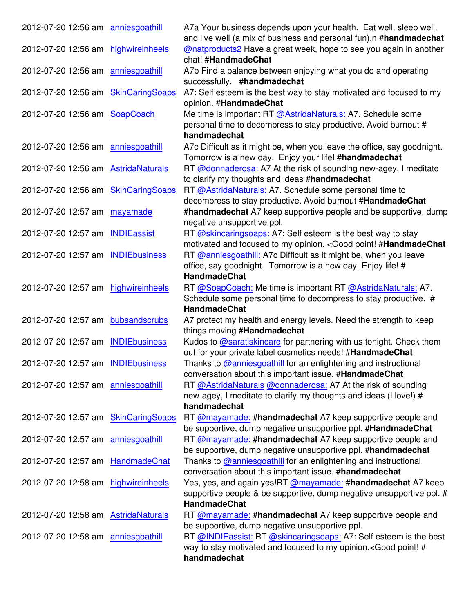| 2012-07-20 12:56 am anniesgoathill   | A7a Your business depends upon your health. Eat well, sleep well,<br>and live well (a mix of business and personal fun).n #handmadechat |
|--------------------------------------|-----------------------------------------------------------------------------------------------------------------------------------------|
| 2012-07-20 12:56 am highwireinheels  | @natproducts2 Have a great week, hope to see you again in another                                                                       |
|                                      | chat! #HandmadeChat                                                                                                                     |
| 2012-07-20 12:56 am anniesgoathill   | A7b Find a balance between enjoying what you do and operating                                                                           |
|                                      | successfully. #handmadechat                                                                                                             |
| 2012-07-20 12:56 am SkinCaringSoaps  | A7: Self esteem is the best way to stay motivated and focused to my                                                                     |
|                                      | opinion. #HandmadeChat                                                                                                                  |
| 2012-07-20 12:56 am SoapCoach        | Me time is important RT @AstridaNaturals: A7. Schedule some                                                                             |
|                                      | personal time to decompress to stay productive. Avoid burnout #                                                                         |
|                                      | handmadechat                                                                                                                            |
| 2012-07-20 12:56 am anniesgoathill   | A7c Difficult as it might be, when you leave the office, say goodnight.                                                                 |
|                                      | Tomorrow is a new day. Enjoy your life! #handmadechat                                                                                   |
| 2012-07-20 12:56 am AstridaNaturals  | RT @donnaderosa: A7 At the risk of sounding new-agey, I meditate                                                                        |
|                                      | to clarify my thoughts and ideas #handmadechat                                                                                          |
| 2012-07-20 12:56 am SkinCaringSoaps  | RT @AstridaNaturals: A7. Schedule some personal time to                                                                                 |
|                                      | decompress to stay productive. Avoid burnout #HandmadeChat                                                                              |
| 2012-07-20 12:57 am mayamade         | #handmadechat A7 keep supportive people and be supportive, dump                                                                         |
|                                      | negative unsupportive ppl.                                                                                                              |
| 2012-07-20 12:57 am INDIEassist      | RT @skincaringsoaps: A7: Self esteem is the best way to stay<br>motivated and focused to my opinion. < Good point! #HandmadeChat        |
| 2012-07-20 12:57 am INDIEbusiness    | RT @anniesgoathill: A7c Difficult as it might be, when you leave                                                                        |
|                                      | office, say goodnight. Tomorrow is a new day. Enjoy life! #                                                                             |
|                                      | <b>HandmadeChat</b>                                                                                                                     |
| 2012-07-20 12:57 am highwireinheels  | RT @SoapCoach: Me time is important RT @AstridaNaturals: A7.                                                                            |
|                                      | Schedule some personal time to decompress to stay productive. #                                                                         |
|                                      | <b>HandmadeChat</b>                                                                                                                     |
| 2012-07-20 12:57 am bubsandscrubs    | A7 protect my health and energy levels. Need the strength to keep                                                                       |
|                                      | things moving #Handmadechat                                                                                                             |
| 2012-07-20 12:57 am INDIEbusiness    | Kudos to @saratiskincare for partnering with us tonight. Check them                                                                     |
|                                      | out for your private label cosmetics needs! #HandmadeChat                                                                               |
| 2012-07-20 12:57 am INDIEbusiness    | Thanks to @anniesgoathill for an enlightening and instructional                                                                         |
|                                      | conversation about this important issue. #HandmadeChat                                                                                  |
| 2012-07-20 12:57 am anniesgoathill   | RT @AstridaNaturals @donnaderosa: A7 At the risk of sounding                                                                            |
|                                      | new-agey, I meditate to clarify my thoughts and ideas (I love!) #                                                                       |
|                                      | handmadechat                                                                                                                            |
| 2012-07-20 12:57 am SkinCaringSoaps  | RT @mayamade: #handmadechat A7 keep supportive people and<br>be supportive, dump negative unsupportive ppl. #HandmadeChat               |
| 2012-07-20 12:57 am anniesgoathill   | RT @mayamade: #handmadechat A7 keep supportive people and                                                                               |
|                                      | be supportive, dump negative unsupportive ppl. #handmadechat                                                                            |
| 2012-07-20 12:57 am HandmadeChat     | Thanks to @anniesgoathill for an enlightening and instructional                                                                         |
|                                      | conversation about this important issue. #handmadechat                                                                                  |
| 2012-07-20 12:58 am highwireinheels  | Yes, yes, and again yes!RT @mayamade: #handmadechat A7 keep                                                                             |
|                                      | supportive people & be supportive, dump negative unsupportive ppl. #                                                                    |
|                                      | HandmadeChat                                                                                                                            |
| 2012-07-20 12:58 am Astrida Naturals | RT @mayamade: #handmadechat A7 keep supportive people and                                                                               |
|                                      | be supportive, dump negative unsupportive ppl.                                                                                          |
| 2012-07-20 12:58 am anniesgoathill   | RT @INDIEassist: RT @skincaringsoaps: A7: Self esteem is the best                                                                       |
|                                      | way to stay motivated and focused to my opinion. <good #<="" point!="" td=""></good>                                                    |
|                                      | handmadechat                                                                                                                            |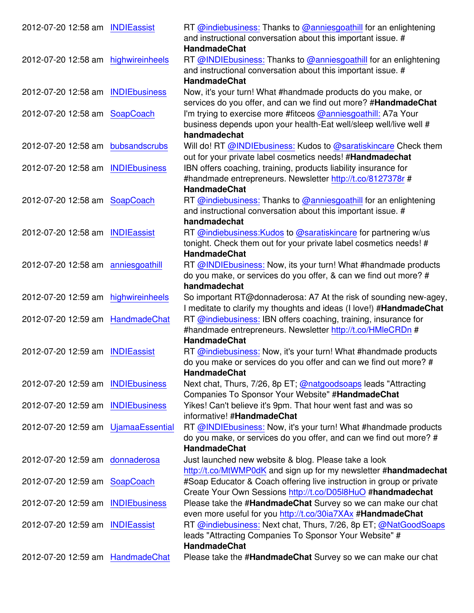| 2012-07-20 12:58 am INDIEassist     |                      | RT @indiebusiness: Thanks to @anniesgoathill for an enlightening                                                                 |
|-------------------------------------|----------------------|----------------------------------------------------------------------------------------------------------------------------------|
|                                     |                      | and instructional conversation about this important issue. #                                                                     |
|                                     |                      | <b>HandmadeChat</b>                                                                                                              |
| 2012-07-20 12:58 am highwireinheels |                      | RT @INDIEbusiness: Thanks to @anniesgoathill for an enlightening                                                                 |
|                                     |                      | and instructional conversation about this important issue. #                                                                     |
|                                     |                      | <b>HandmadeChat</b>                                                                                                              |
| 2012-07-20 12:58 am INDIEbusiness   |                      | Now, it's your turn! What #handmade products do you make, or                                                                     |
|                                     |                      | services do you offer, and can we find out more? #HandmadeChat                                                                   |
| 2012-07-20 12:58 am SoapCoach       |                      | I'm trying to exercise more #fitceos @anniesgoathill: A7a Your                                                                   |
|                                     |                      | business depends upon your health-Eat well/sleep well/live well #                                                                |
|                                     |                      | handmadechat                                                                                                                     |
| 2012-07-20 12:58 am bubsandscrubs   |                      | Will do! RT @INDIEbusiness: Kudos to @saratiskincare Check them                                                                  |
|                                     |                      | out for your private label cosmetics needs! #Handmadechat                                                                        |
| 2012-07-20 12:58 am INDIEbusiness   |                      | IBN offers coaching, training, products liability insurance for                                                                  |
|                                     |                      | #handmade entrepreneurs. Newsletter http://t.co/8127378r #<br><b>HandmadeChat</b>                                                |
| 2012-07-20 12:58 am SoapCoach       |                      |                                                                                                                                  |
|                                     |                      | RT @indiebusiness: Thanks to @anniesgoathill for an enlightening<br>and instructional conversation about this important issue. # |
|                                     |                      | handmadechat                                                                                                                     |
| 2012-07-20 12:58 am INDIEassist     |                      | RT @indiebusiness: Kudos to @saratiskincare for partnering w/us                                                                  |
|                                     |                      | tonight. Check them out for your private label cosmetics needs! #                                                                |
|                                     |                      | <b>HandmadeChat</b>                                                                                                              |
| 2012-07-20 12:58 am anniesgoathill  |                      | RT @INDIEbusiness: Now, its your turn! What #handmade products                                                                   |
|                                     |                      | do you make, or services do you offer, & can we find out more? #                                                                 |
|                                     |                      | handmadechat                                                                                                                     |
| 2012-07-20 12:59 am highwireinheels |                      | So important RT@donnaderosa: A7 At the risk of sounding new-agey,                                                                |
|                                     |                      | I meditate to clarify my thoughts and ideas (I love!) #HandmadeChat                                                              |
| 2012-07-20 12:59 am HandmadeChat    |                      | RT @indiebusiness: IBN offers coaching, training, insurance for                                                                  |
|                                     |                      | #handmade entrepreneurs. Newsletter http://t.co/HMleCRDn #                                                                       |
|                                     |                      | <b>HandmadeChat</b>                                                                                                              |
| 2012-07-20 12:59 am INDIEassist     |                      | RT @indiebusiness: Now, it's your turn! What #handmade products                                                                  |
|                                     |                      | do you make or services do you offer and can we find out more? #                                                                 |
|                                     |                      | <b>HandmadeChat</b>                                                                                                              |
| 2012-07-20 12:59 am INDIEbusiness   |                      | Next chat, Thurs, 7/26, 8p ET; @natgoodsoaps leads "Attracting                                                                   |
|                                     |                      | Companies To Sponsor Your Website" #HandmadeChat                                                                                 |
| 2012-07-20 12:59 am INDIEbusiness   |                      | Yikes! Can't believe it's 9pm. That hour went fast and was so                                                                    |
|                                     |                      | informative! #HandmadeChat                                                                                                       |
| 2012-07-20 12:59 am UjamaaEssential |                      | RT @INDIEbusiness: Now, it's your turn! What #handmade products                                                                  |
|                                     |                      | do you make, or services do you offer, and can we find out more? #                                                               |
|                                     |                      | <b>HandmadeChat</b>                                                                                                              |
| 2012-07-20 12:59 am donnaderosa     |                      | Just launched new website & blog. Please take a look                                                                             |
|                                     |                      | http://t.co/MtWMP0dK and sign up for my newsletter #handmadechat                                                                 |
| 2012-07-20 12:59 am SoapCoach       |                      | #Soap Educator & Coach offering live instruction in group or private                                                             |
|                                     |                      | Create Your Own Sessions http://t.co/D05I8HuO #handmadechat                                                                      |
| 2012-07-20 12:59 am                 | <b>INDIEbusiness</b> | Please take the #HandmadeChat Survey so we can make our chat                                                                     |
|                                     |                      | even more useful for you http://t.co/30ia7XAx #HandmadeChat                                                                      |
| 2012-07-20 12:59 am INDIEassist     |                      | RT @indiebusiness: Next chat, Thurs, 7/26, 8p ET; @NatGoodSoaps                                                                  |
|                                     |                      | leads "Attracting Companies To Sponsor Your Website" #<br><b>HandmadeChat</b>                                                    |
|                                     |                      |                                                                                                                                  |
| 2012-07-20 12:59 am HandmadeChat    |                      | Please take the #HandmadeChat Survey so we can make our chat                                                                     |